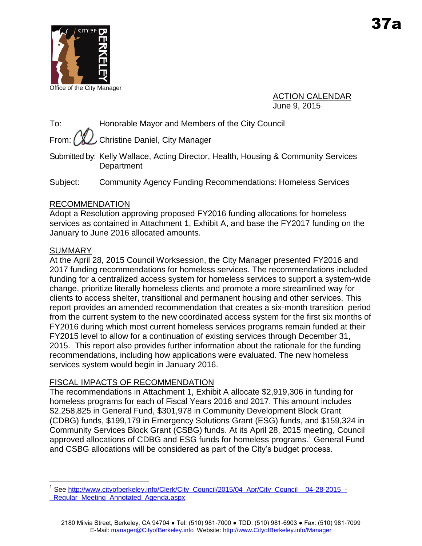

Office of the City Manager

ACTION CALENDAR June 9, 2015

To: Honorable Mayor and Members of the City Council

From:  $\left(\frac{w}{w}\right)$  Christine Daniel, City Manager

Submitted by: Kelly Wallace, Acting Director, Health, Housing & Community Services **Department** 

Subject: Community Agency Funding Recommendations: Homeless Services

# RECOMMENDATION

Adopt a Resolution approving proposed FY2016 funding allocations for homeless services as contained in Attachment 1, Exhibit A, and base the FY2017 funding on the January to June 2016 allocated amounts.

# **SUMMARY**

At the April 28, 2015 Council Worksession, the City Manager presented FY2016 and 2017 funding recommendations for homeless services. The recommendations included funding for a centralized access system for homeless services to support a system-wide change, prioritize literally homeless clients and promote a more streamlined way for clients to access shelter, transitional and permanent housing and other services. This report provides an amended recommendation that creates a six-month transition period from the current system to the new coordinated access system for the first six months of FY2016 during which most current homeless services programs remain funded at their FY2015 level to allow for a continuation of existing services through December 31, 2015. This report also provides further information about the rationale for the funding recommendations, including how applications were evaluated. The new homeless services system would begin in January 2016.

# FISCAL IMPACTS OF RECOMMENDATION

The recommendations in Attachment 1, Exhibit A allocate \$2,919,306 in funding for homeless programs for each of Fiscal Years 2016 and 2017. This amount includes \$2,258,825 in General Fund, \$301,978 in Community Development Block Grant (CDBG) funds, \$199,179 in Emergency Solutions Grant (ESG) funds, and \$159,324 in Community Services Block Grant (CSBG) funds. At its April 28, 2015 meeting, Council approved allocations of CDBG and ESG funds for homeless programs. <sup>1</sup> General Fund and CSBG allocations will be considered as part of the City's budget process.

 $\overline{a}$ <sup>1</sup> See [http://www.cityofberkeley.info/Clerk/City\\_Council/2015/04\\_Apr/City\\_Council\\_\\_04-28-2015\\_-](http://www.cityofberkeley.info/Clerk/City_Council/2015/04_Apr/City_Council__04-28-2015_-_Regular_Meeting_Annotated_Agenda.aspx) [\\_Regular\\_Meeting\\_Annotated\\_Agenda.aspx](http://www.cityofberkeley.info/Clerk/City_Council/2015/04_Apr/City_Council__04-28-2015_-_Regular_Meeting_Annotated_Agenda.aspx)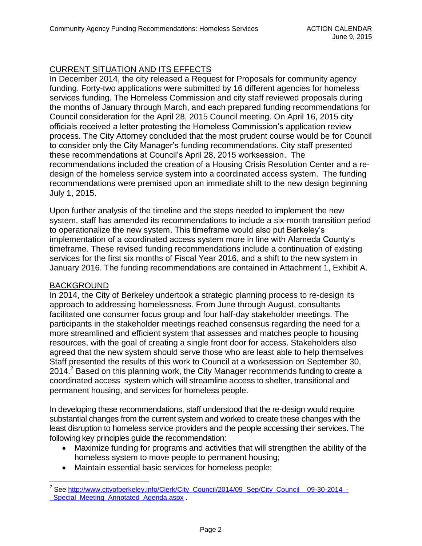# CURRENT SITUATION AND ITS EFFECTS

In December 2014, the city released a Request for Proposals for community agency funding. Forty-two applications were submitted by 16 different agencies for homeless services funding. The Homeless Commission and city staff reviewed proposals during the months of January through March, and each prepared funding recommendations for Council consideration for the April 28, 2015 Council meeting. On April 16, 2015 city officials received a letter protesting the Homeless Commission's application review process. The City Attorney concluded that the most prudent course would be for Council to consider only the City Manager's funding recommendations. City staff presented these recommendations at Council's April 28, 2015 worksession. The recommendations included the creation of a Housing Crisis Resolution Center and a redesign of the homeless service system into a coordinated access system. The funding recommendations were premised upon an immediate shift to the new design beginning July 1, 2015.

Upon further analysis of the timeline and the steps needed to implement the new system, staff has amended its recommendations to include a six-month transition period to operationalize the new system. This timeframe would also put Berkeley's implementation of a coordinated access system more in line with Alameda County's timeframe. These revised funding recommendations include a continuation of existing services for the first six months of Fiscal Year 2016, and a shift to the new system in January 2016. The funding recommendations are contained in Attachment 1, Exhibit A.

#### BACKGROUND

In 2014, the City of Berkeley undertook a strategic planning process to re-design its approach to addressing homelessness. From June through August, consultants facilitated one consumer focus group and four half-day stakeholder meetings. The participants in the stakeholder meetings reached consensus regarding the need for a more streamlined and efficient system that assesses and matches people to housing resources, with the goal of creating a single front door for access. Stakeholders also agreed that the new system should serve those who are least able to help themselves Staff presented the results of this work to Council at a worksession on September 30, 2014.<sup>2</sup> Based on this planning work, the City Manager recommends funding to create a coordinated access system which will streamline access to shelter, transitional and permanent housing, and services for homeless people.

In developing these recommendations, staff understood that the re-design would require substantial changes from the current system and worked to create these changes with the least disruption to homeless service providers and the people accessing their services. The following key principles guide the recommendation:

- Maximize funding for programs and activities that will strengthen the ability of the homeless system to move people to permanent housing;
- Maintain essential basic services for homeless people;

 $\overline{a}$ <sup>2</sup> See [http://www.cityofberkeley.info/Clerk/City\\_Council/2014/09\\_Sep/City\\_Council\\_\\_09-30-2014\\_-](http://www.cityofberkeley.info/Clerk/City_Council/2014/09_Sep/City_Council__09-30-2014_-_Special_Meeting_Annotated_Agenda.aspx) [\\_Special\\_Meeting\\_Annotated\\_Agenda.aspx](http://www.cityofberkeley.info/Clerk/City_Council/2014/09_Sep/City_Council__09-30-2014_-_Special_Meeting_Annotated_Agenda.aspx) .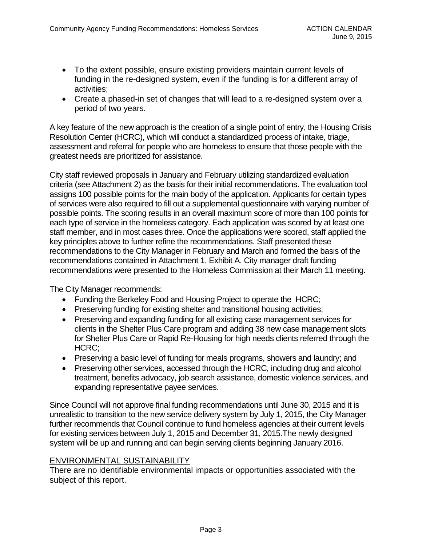- To the extent possible, ensure existing providers maintain current levels of funding in the re-designed system, even if the funding is for a different array of activities;
- Create a phased-in set of changes that will lead to a re-designed system over a period of two years.

A key feature of the new approach is the creation of a single point of entry, the Housing Crisis Resolution Center (HCRC), which will conduct a standardized process of intake, triage, assessment and referral for people who are homeless to ensure that those people with the greatest needs are prioritized for assistance.

City staff reviewed proposals in January and February utilizing standardized evaluation criteria (see Attachment 2) as the basis for their initial recommendations. The evaluation tool assigns 100 possible points for the main body of the application. Applicants for certain types of services were also required to fill out a supplemental questionnaire with varying number of possible points. The scoring results in an overall maximum score of more than 100 points for each type of service in the homeless category. Each application was scored by at least one staff member, and in most cases three. Once the applications were scored, staff applied the key principles above to further refine the recommendations. Staff presented these recommendations to the City Manager in February and March and formed the basis of the recommendations contained in Attachment 1, Exhibit A. City manager draft funding recommendations were presented to the Homeless Commission at their March 11 meeting.

The City Manager recommends:

- Funding the Berkeley Food and Housing Project to operate the HCRC;
- Preserving funding for existing shelter and transitional housing activities;
- Preserving and expanding funding for all existing case management services for clients in the Shelter Plus Care program and adding 38 new case management slots for Shelter Plus Care or Rapid Re-Housing for high needs clients referred through the HCRC;
- Preserving a basic level of funding for meals programs, showers and laundry; and
- Preserving other services, accessed through the HCRC, including drug and alcohol treatment, benefits advocacy, job search assistance, domestic violence services, and expanding representative payee services.

Since Council will not approve final funding recommendations until June 30, 2015 and it is unrealistic to transition to the new service delivery system by July 1, 2015, the City Manager further recommends that Council continue to fund homeless agencies at their current levels for existing services between July 1, 2015 and December 31, 2015.The newly designed system will be up and running and can begin serving clients beginning January 2016.

## ENVIRONMENTAL SUSTAINABILITY

There are no identifiable environmental impacts or opportunities associated with the subject of this report.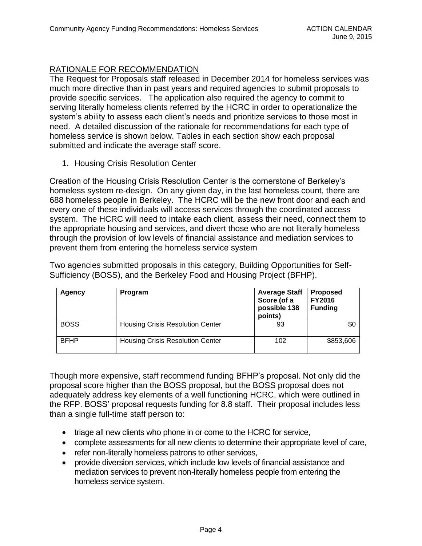# RATIONALE FOR RECOMMENDATION

The Request for Proposals staff released in December 2014 for homeless services was much more directive than in past years and required agencies to submit proposals to provide specific services. The application also required the agency to commit to serving literally homeless clients referred by the HCRC in order to operationalize the system's ability to assess each client's needs and prioritize services to those most in need. A detailed discussion of the rationale for recommendations for each type of homeless service is shown below. Tables in each section show each proposal submitted and indicate the average staff score.

1. Housing Crisis Resolution Center

Creation of the Housing Crisis Resolution Center is the cornerstone of Berkeley's homeless system re-design. On any given day, in the last homeless count, there are 688 homeless people in Berkeley. The HCRC will be the new front door and each and every one of these individuals will access services through the coordinated access system. The HCRC will need to intake each client, assess their need, connect them to the appropriate housing and services, and divert those who are not literally homeless through the provision of low levels of financial assistance and mediation services to prevent them from entering the homeless service system

Two agencies submitted proposals in this category, Building Opportunities for Self-Sufficiency (BOSS), and the Berkeley Food and Housing Project (BFHP).

| Agency      | <b>Program</b>                          | <b>Average Staff</b><br>Score (of a<br>possible 138<br>points) | <b>Proposed</b><br><b>FY2016</b><br><b>Funding</b> |
|-------------|-----------------------------------------|----------------------------------------------------------------|----------------------------------------------------|
| <b>BOSS</b> | <b>Housing Crisis Resolution Center</b> | 93                                                             | \$0                                                |
| <b>BFHP</b> | <b>Housing Crisis Resolution Center</b> | 102                                                            | \$853,606                                          |

Though more expensive, staff recommend funding BFHP's proposal. Not only did the proposal score higher than the BOSS proposal, but the BOSS proposal does not adequately address key elements of a well functioning HCRC, which were outlined in the RFP. BOSS' proposal requests funding for 8.8 staff. Their proposal includes less than a single full-time staff person to:

- triage all new clients who phone in or come to the HCRC for service,
- complete assessments for all new clients to determine their appropriate level of care,
- refer non-literally homeless patrons to other services,
- provide diversion services, which include low levels of financial assistance and mediation services to prevent non-literally homeless people from entering the homeless service system.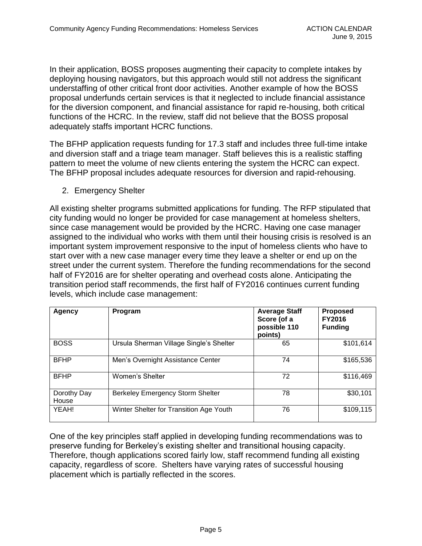In their application, BOSS proposes augmenting their capacity to complete intakes by deploying housing navigators, but this approach would still not address the significant understaffing of other critical front door activities. Another example of how the BOSS proposal underfunds certain services is that it neglected to include financial assistance for the diversion component, and financial assistance for rapid re-housing, both critical functions of the HCRC. In the review, staff did not believe that the BOSS proposal adequately staffs important HCRC functions.

The BFHP application requests funding for 17.3 staff and includes three full-time intake and diversion staff and a triage team manager. Staff believes this is a realistic staffing pattern to meet the volume of new clients entering the system the HCRC can expect. The BFHP proposal includes adequate resources for diversion and rapid-rehousing.

2. Emergency Shelter

All existing shelter programs submitted applications for funding. The RFP stipulated that city funding would no longer be provided for case management at homeless shelters, since case management would be provided by the HCRC. Having one case manager assigned to the individual who works with them until their housing crisis is resolved is an important system improvement responsive to the input of homeless clients who have to start over with a new case manager every time they leave a shelter or end up on the street under the current system. Therefore the funding recommendations for the second half of FY2016 are for shelter operating and overhead costs alone. Anticipating the transition period staff recommends, the first half of FY2016 continues current funding levels, which include case management:

| <b>Agency</b>        | Program                                 | <b>Average Staff</b><br>Score (of a<br>possible 110<br>points) | <b>Proposed</b><br><b>FY2016</b><br><b>Funding</b> |
|----------------------|-----------------------------------------|----------------------------------------------------------------|----------------------------------------------------|
| <b>BOSS</b>          | Ursula Sherman Village Single's Shelter | 65                                                             | \$101,614                                          |
| <b>BFHP</b>          | Men's Overnight Assistance Center       | 74                                                             | \$165,536                                          |
| <b>BFHP</b>          | Women's Shelter                         | 72                                                             | \$116,469                                          |
| Dorothy Day<br>House | <b>Berkeley Emergency Storm Shelter</b> | 78                                                             | \$30,101                                           |
| YEAH!                | Winter Shelter for Transition Age Youth | 76                                                             | \$109,115                                          |

One of the key principles staff applied in developing funding recommendations was to preserve funding for Berkeley's existing shelter and transitional housing capacity. Therefore, though applications scored fairly low, staff recommend funding all existing capacity, regardless of score. Shelters have varying rates of successful housing placement which is partially reflected in the scores.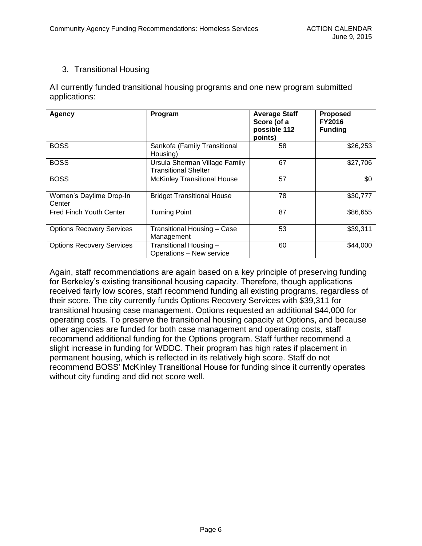## 3. Transitional Housing

All currently funded transitional housing programs and one new program submitted applications:

| <b>Agency</b>                     | Program                                                      | <b>Average Staff</b><br>Score (of a<br>possible 112<br>points) | <b>Proposed</b><br><b>FY2016</b><br><b>Funding</b> |
|-----------------------------------|--------------------------------------------------------------|----------------------------------------------------------------|----------------------------------------------------|
| <b>BOSS</b>                       | Sankofa (Family Transitional<br>Housing)                     | 58                                                             | \$26,253                                           |
| <b>BOSS</b>                       | Ursula Sherman Village Family<br><b>Transitional Shelter</b> | 67                                                             | \$27,706                                           |
| <b>BOSS</b>                       | <b>McKinley Transitional House</b>                           | 57                                                             | \$0                                                |
| Women's Daytime Drop-In<br>Center | <b>Bridget Transitional House</b>                            | 78                                                             | \$30,777                                           |
| <b>Fred Finch Youth Center</b>    | <b>Turning Point</b>                                         | 87                                                             | \$86,655                                           |
| <b>Options Recovery Services</b>  | Transitional Housing - Case<br>Management                    | 53                                                             | \$39,311                                           |
| <b>Options Recovery Services</b>  | Transitional Housing -<br>Operations - New service           | 60                                                             | \$44,000                                           |

Again, staff recommendations are again based on a key principle of preserving funding for Berkeley's existing transitional housing capacity. Therefore, though applications received fairly low scores, staff recommend funding all existing programs, regardless of their score. The city currently funds Options Recovery Services with \$39,311 for transitional housing case management. Options requested an additional \$44,000 for operating costs. To preserve the transitional housing capacity at Options, and because other agencies are funded for both case management and operating costs, staff recommend additional funding for the Options program. Staff further recommend a slight increase in funding for WDDC. Their program has high rates if placement in permanent housing, which is reflected in its relatively high score. Staff do not recommend BOSS' McKinley Transitional House for funding since it currently operates without city funding and did not score well.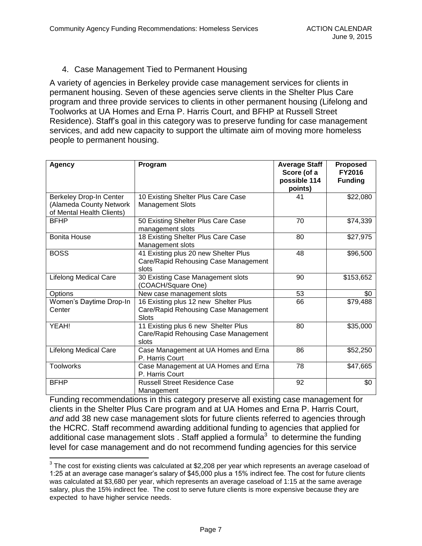## 4. Case Management Tied to Permanent Housing

A variety of agencies in Berkeley provide case management services for clients in permanent housing. Seven of these agencies serve clients in the Shelter Plus Care program and three provide services to clients in other permanent housing (Lifelong and Toolworks at UA Homes and Erna P. Harris Court, and BFHP at Russell Street Residence). Staff's goal in this category was to preserve funding for case management services, and add new capacity to support the ultimate aim of moving more homeless people to permanent housing.

| <b>Agency</b>                                                                   | Program                                                                                      | <b>Average Staff</b><br>Score (of a<br>possible 114<br>points) | Proposed<br><b>FY2016</b><br><b>Funding</b> |
|---------------------------------------------------------------------------------|----------------------------------------------------------------------------------------------|----------------------------------------------------------------|---------------------------------------------|
| Berkeley Drop-In Center<br>(Alameda County Network<br>of Mental Health Clients) | 10 Existing Shelter Plus Care Case<br><b>Management Slots</b>                                | 41                                                             | \$22,080                                    |
| <b>BFHP</b>                                                                     | 50 Existing Shelter Plus Care Case<br>management slots                                       | 70                                                             | \$74,339                                    |
| <b>Bonita House</b>                                                             | 18 Existing Shelter Plus Care Case<br>Management slots                                       | 80                                                             | \$27,975                                    |
| <b>BOSS</b>                                                                     | 41 Existing plus 20 new Shelter Plus<br>Care/Rapid Rehousing Case Management<br>slots        | 48                                                             | \$96,500                                    |
| <b>Lifelong Medical Care</b>                                                    | 30 Existing Case Management slots<br>(COACH/Square One)                                      | 90                                                             | \$153,652                                   |
| Options                                                                         | New case management slots                                                                    | 53                                                             | \$0                                         |
| Women's Daytime Drop-In<br>Center                                               | 16 Existing plus 12 new Shelter Plus<br>Care/Rapid Rehousing Case Management<br><b>Slots</b> | 66                                                             | \$79,488                                    |
| YEAH!                                                                           | 11 Existing plus 6 new Shelter Plus<br>Care/Rapid Rehousing Case Management<br>slots         | 80                                                             | \$35,000                                    |
| <b>Lifelong Medical Care</b>                                                    | Case Management at UA Homes and Erna<br>P. Harris Court                                      | 86                                                             | \$52,250                                    |
| <b>Toolworks</b>                                                                | Case Management at UA Homes and Erna<br>P. Harris Court                                      | 78                                                             | \$47,665                                    |
| <b>BFHP</b>                                                                     | <b>Russell Street Residence Case</b><br>Management                                           | 92                                                             | \$0                                         |

Funding recommendations in this category preserve all existing case management for clients in the Shelter Plus Care program and at UA Homes and Erna P. Harris Court, *and* add 38 new case management slots for future clients referred to agencies through the HCRC. Staff recommend awarding additional funding to agencies that applied for additional case management slots . Staff applied a formula $3$  to determine the funding level for case management and do not recommend funding agencies for this service

 $\overline{a}$ 

 $^3$  The cost for existing clients was calculated at \$2,208 per year which represents an average caseload of 1:25 at an average case manager's salary of \$45,000 plus a 15% indirect fee. The cost for future clients was calculated at \$3,680 per year, which represents an average caseload of 1:15 at the same average salary, plus the 15% indirect fee. The cost to serve future clients is more expensive because they are expected to have higher service needs.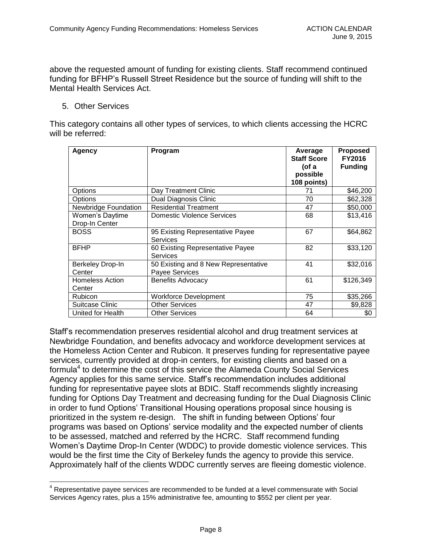above the requested amount of funding for existing clients. Staff recommend continued funding for BFHP's Russell Street Residence but the source of funding will shift to the Mental Health Services Act.

5. Other Services

 $\overline{a}$ 

This category contains all other types of services, to which clients accessing the HCRC will be referred:

| Agency                            | Program                                                | Average<br><b>Staff Score</b><br>(of a<br>possible<br>108 points) | <b>Proposed</b><br><b>FY2016</b><br><b>Funding</b> |
|-----------------------------------|--------------------------------------------------------|-------------------------------------------------------------------|----------------------------------------------------|
| Options                           | Day Treatment Clinic                                   | 71                                                                | \$46,200                                           |
| Options                           | Dual Diagnosis Clinic                                  | 70                                                                | \$62,328                                           |
| <b>Newbridge Foundation</b>       | <b>Residential Treatment</b>                           | 47                                                                | \$50,000                                           |
| Women's Daytime<br>Drop-In Center | Domestic Violence Services                             | 68                                                                | \$13,416                                           |
| <b>BOSS</b>                       | 95 Existing Representative Payee<br><b>Services</b>    | 67                                                                | \$64,862                                           |
| <b>BFHP</b>                       | 60 Existing Representative Payee<br>Services           | 82                                                                | \$33,120                                           |
| Berkeley Drop-In<br>Center        | 50 Existing and 8 New Representative<br>Payee Services | 41                                                                | \$32,016                                           |
| <b>Homeless Action</b><br>Center  | <b>Benefits Advocacy</b>                               | 61                                                                | \$126,349                                          |
| <b>Rubicon</b>                    | <b>Workforce Development</b>                           | 75                                                                | \$35,266                                           |
| Suitcase Clinic                   | <b>Other Services</b>                                  | 47                                                                | \$9,828                                            |
| United for Health                 | <b>Other Services</b>                                  | 64                                                                | \$0                                                |

Staff's recommendation preserves residential alcohol and drug treatment services at Newbridge Foundation, and benefits advocacy and workforce development services at the Homeless Action Center and Rubicon. It preserves funding for representative payee services, currently provided at drop-in centers, for existing clients and based on a formula<sup>4</sup> to determine the cost of this service the Alameda County Social Services Agency applies for this same service. Staff's recommendation includes additional funding for representative payee slots at BDIC. Staff recommends slightly increasing funding for Options Day Treatment and decreasing funding for the Dual Diagnosis Clinic in order to fund Options' Transitional Housing operations proposal since housing is prioritized in the system re-design. The shift in funding between Options' four programs was based on Options' service modality and the expected number of clients to be assessed, matched and referred by the HCRC. Staff recommend funding Women's Daytime Drop-In Center (WDDC) to provide domestic violence services. This would be the first time the City of Berkeley funds the agency to provide this service. Approximately half of the clients WDDC currently serves are fleeing domestic violence.

 $4$  Representative payee services are recommended to be funded at a level commensurate with Social Services Agency rates, plus a 15% administrative fee, amounting to \$552 per client per year.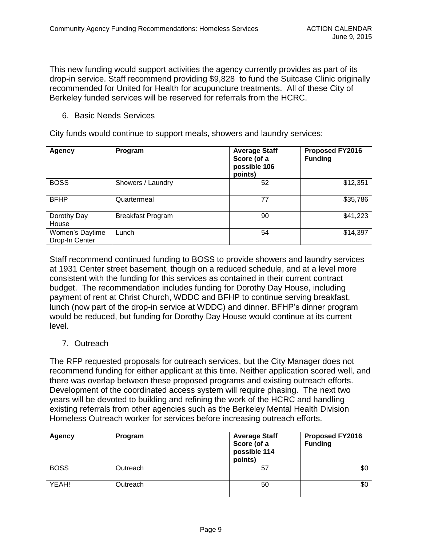This new funding would support activities the agency currently provides as part of its drop-in service. Staff recommend providing \$9,828 to fund the Suitcase Clinic originally recommended for United for Health for acupuncture treatments. All of these City of Berkeley funded services will be reserved for referrals from the HCRC.

### 6. Basic Needs Services

City funds would continue to support meals, showers and laundry services:

| <b>Agency</b>                     | Program                  | <b>Average Staff</b><br>Score (of a<br>possible 106<br>points) | <b>Proposed FY2016</b><br><b>Funding</b> |
|-----------------------------------|--------------------------|----------------------------------------------------------------|------------------------------------------|
| <b>BOSS</b>                       | Showers / Laundry        | 52                                                             | \$12,351                                 |
| <b>BFHP</b>                       | Quartermeal              | 77                                                             | \$35,786                                 |
| Dorothy Day<br>House              | <b>Breakfast Program</b> | 90                                                             | \$41,223                                 |
| Women's Daytime<br>Drop-In Center | Lunch                    | 54                                                             | \$14,397                                 |

Staff recommend continued funding to BOSS to provide showers and laundry services at 1931 Center street basement, though on a reduced schedule, and at a level more consistent with the funding for this services as contained in their current contract budget. The recommendation includes funding for Dorothy Day House, including payment of rent at Christ Church, WDDC and BFHP to continue serving breakfast, lunch (now part of the drop-in service at WDDC) and dinner. BFHP's dinner program would be reduced, but funding for Dorothy Day House would continue at its current level.

## 7. Outreach

The RFP requested proposals for outreach services, but the City Manager does not recommend funding for either applicant at this time. Neither application scored well, and there was overlap between these proposed programs and existing outreach efforts. Development of the coordinated access system will require phasing. The next two years will be devoted to building and refining the work of the HCRC and handling existing referrals from other agencies such as the Berkeley Mental Health Division Homeless Outreach worker for services before increasing outreach efforts.

| <b>Agency</b> | Program  | <b>Average Staff</b><br>Score (of a<br>possible 114<br>points) | <b>Proposed FY2016</b><br><b>Funding</b> |
|---------------|----------|----------------------------------------------------------------|------------------------------------------|
| <b>BOSS</b>   | Outreach | 57                                                             | \$0                                      |
| YEAH!         | Outreach | 50                                                             | \$0                                      |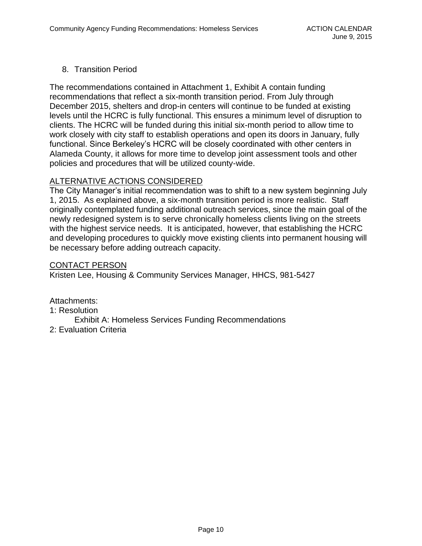## 8. Transition Period

The recommendations contained in Attachment 1, Exhibit A contain funding recommendations that reflect a six-month transition period. From July through December 2015, shelters and drop-in centers will continue to be funded at existing levels until the HCRC is fully functional. This ensures a minimum level of disruption to clients. The HCRC will be funded during this initial six-month period to allow time to work closely with city staff to establish operations and open its doors in January, fully functional. Since Berkeley's HCRC will be closely coordinated with other centers in Alameda County, it allows for more time to develop joint assessment tools and other policies and procedures that will be utilized county-wide.

### ALTERNATIVE ACTIONS CONSIDERED

The City Manager's initial recommendation was to shift to a new system beginning July 1, 2015. As explained above, a six-month transition period is more realistic. Staff originally contemplated funding additional outreach services, since the main goal of the newly redesigned system is to serve chronically homeless clients living on the streets with the highest service needs. It is anticipated, however, that establishing the HCRC and developing procedures to quickly move existing clients into permanent housing will be necessary before adding outreach capacity.

#### CONTACT PERSON

Kristen Lee, Housing & Community Services Manager, HHCS, 981-5427

Attachments:

1: Resolution

Exhibit A: Homeless Services Funding Recommendations

2: Evaluation Criteria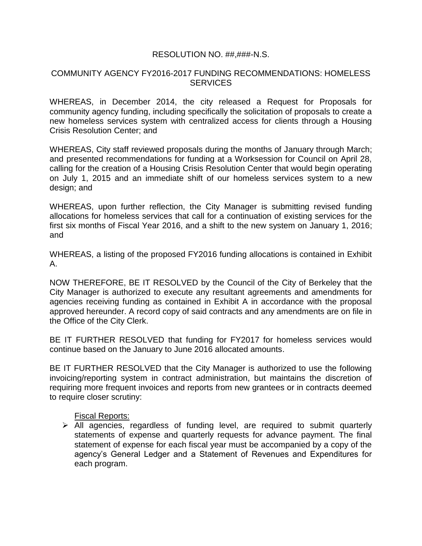### RESOLUTION NO. ##,###-N.S.

### COMMUNITY AGENCY FY2016-2017 FUNDING RECOMMENDATIONS: HOMELESS **SERVICES**

WHEREAS, in December 2014, the city released a Request for Proposals for community agency funding, including specifically the solicitation of proposals to create a new homeless services system with centralized access for clients through a Housing Crisis Resolution Center; and

WHEREAS, City staff reviewed proposals during the months of January through March; and presented recommendations for funding at a Worksession for Council on April 28, calling for the creation of a Housing Crisis Resolution Center that would begin operating on July 1, 2015 and an immediate shift of our homeless services system to a new design; and

WHEREAS, upon further reflection, the City Manager is submitting revised funding allocations for homeless services that call for a continuation of existing services for the first six months of Fiscal Year 2016, and a shift to the new system on January 1, 2016; and

WHEREAS, a listing of the proposed FY2016 funding allocations is contained in Exhibit A.

NOW THEREFORE, BE IT RESOLVED by the Council of the City of Berkeley that the City Manager is authorized to execute any resultant agreements and amendments for agencies receiving funding as contained in Exhibit A in accordance with the proposal approved hereunder. A record copy of said contracts and any amendments are on file in the Office of the City Clerk.

BE IT FURTHER RESOLVED that funding for FY2017 for homeless services would continue based on the January to June 2016 allocated amounts.

BE IT FURTHER RESOLVED that the City Manager is authorized to use the following invoicing/reporting system in contract administration, but maintains the discretion of requiring more frequent invoices and reports from new grantees or in contracts deemed to require closer scrutiny:

#### Fiscal Reports:

 $\triangleright$  All agencies, regardless of funding level, are required to submit quarterly statements of expense and quarterly requests for advance payment. The final statement of expense for each fiscal year must be accompanied by a copy of the agency's General Ledger and a Statement of Revenues and Expenditures for each program.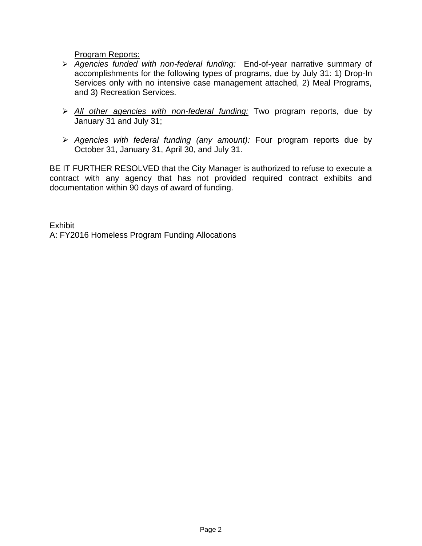Program Reports:

- *Agencies funded with non-federal funding:* End-of-year narrative summary of accomplishments for the following types of programs, due by July 31: 1) Drop-In Services only with no intensive case management attached, 2) Meal Programs, and 3) Recreation Services.
- *All other agencies with non-federal funding:* Two program reports, due by January 31 and July 31;
- *Agencies with federal funding (any amount):* Four program reports due by October 31, January 31, April 30, and July 31.

BE IT FURTHER RESOLVED that the City Manager is authorized to refuse to execute a contract with any agency that has not provided required contract exhibits and documentation within 90 days of award of funding.

**Exhibit** A: FY2016 Homeless Program Funding Allocations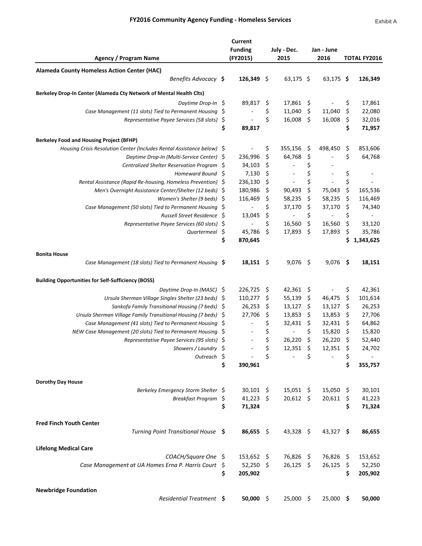### FY2016 Community Agency Funding - Homeless Services

|                                                                        | <b>Current</b>           |     |                |      |                          |     |                          |
|------------------------------------------------------------------------|--------------------------|-----|----------------|------|--------------------------|-----|--------------------------|
|                                                                        | <b>Funding</b>           |     | July - Dec.    |      | Jan - June               |     |                          |
| <b>Agency / Program Name</b>                                           | (FY2015)                 |     | 2015           |      | 2016                     |     | <b>TOTAL FY2016</b>      |
|                                                                        |                          |     |                |      |                          |     |                          |
| <b>Alameda County Homeless Action Center (HAC)</b>                     |                          |     |                |      |                          |     |                          |
| Benefits Advocacy \$                                                   | $126,349$ \$             |     | $63,175$ \$    |      | $63,175$ \$              |     | 126,349                  |
| Berkeley Drop-In Center (Alameda Cty Network of Mental Health Clts)    |                          |     |                |      |                          |     |                          |
| Daytime Drop-In \$                                                     | 89,817                   | Ş   | 17,861 \$      |      | $\overline{\phantom{a}}$ | \$  | 17,861                   |
| Case Management (11 slots) Tied to Permanent Housing \$                |                          | \$  | 11,040         | \$   | 11,040                   | \$  | 22,080                   |
| Representative Payee Services (58 slots)                               | \$                       | \$  | 16,008         | \$.  | 16,008                   | \$  | 32,016                   |
|                                                                        | \$<br>89,817             |     |                |      |                          | \$  | 71,957                   |
|                                                                        |                          |     |                |      |                          |     |                          |
| <b>Berkeley Food and Housing Project (BFHP)</b>                        |                          |     |                |      |                          |     |                          |
| Housing Crisis Resolution Center (Includes Rental Assistance below) \$ |                          | \$  | 355,156        | \$   | 498,450                  | \$, | 853,606                  |
| Daytime Drop-In (Multi-Service Center) \$                              | 236,996                  | \$  | 64,768         | \$   |                          | \$  | 64,768                   |
| Centralized Shelter Reservation Program \$                             | 34,103                   | \$  |                | \$   |                          |     |                          |
| Homeward Bound \$                                                      | 7,130                    | \$  |                | \$   |                          | \$  | $\overline{\phantom{a}}$ |
| Rental Assistance (Rapid Re-housing, Homeless Prevention) \$           | 236,130                  | \$  | $\blacksquare$ | \$   |                          | \$  |                          |
| Men's Overnight Assistance Center/Shelter (12 beds) \$                 | 180,986                  | \$  | 90,493         | \$   | 75,043                   | \$  | 165,536                  |
| Women's Shelter (9 beds) $\Diamond$                                    | 116,469                  | \$  | 58,235         | \$   | 58,235                   | \$  | 116,469                  |
| Case Management (50 slots) Tied to Permanent Housing \$                | $\blacksquare$           | \$  | 37,170         | \$   | 37,170                   | \$  | 74,340                   |
| Russell Street Residence \$                                            | 13,045                   | \$  | $\blacksquare$ | \$   | $\blacksquare$           | \$  | $\blacksquare$           |
| Representative Payee Services (60 slots) \$                            | $\overline{\phantom{a}}$ | \$  | 16,560         | \$   | 16,560                   | \$  | 33,120                   |
| Quartermeal \$                                                         | 45,786                   | \$  | 17,893         | \$   | 17,893                   | \$  | 35,786                   |
|                                                                        | \$<br>870,645            |     |                |      |                          | \$  | 1,343,625                |
| <b>Bonita House</b>                                                    |                          |     |                |      |                          |     |                          |
| Case Management (18 slots) Tied to Permanent Housing \$                | $18,151$ \$              |     | $9,076$ \$     |      | 9,076                    | -\$ | 18,151                   |
| <b>Building Opportunities for Self-Sufficiency (BOSS)</b>              |                          |     |                |      |                          |     |                          |
| Daytime Drop-In (MASC) \$                                              | 226,725                  | \$  | 42,361 \$      |      |                          | \$  | 42,361                   |
| Ursula Sherman Village Singles Shelter (23 beds) \$                    | 110,277                  | \$  | 55,139         | - \$ | 46,475                   | \$  | 101,614                  |
| Sankofa Family Transitional Housing (7 beds) \$                        | 26,253                   | \$  | 13,127         | \$   | 13,127                   | \$  | 26,253                   |
| Ursula Sherman Village Family Transitional Housing (7 beds) \$         | 27,706                   | \$  | 13,853         | \$   | 13,853                   | \$  | 27,706                   |
| Case Management (41 slots) Tied to Permanent Housing $\oint$           | $\blacksquare$           | \$  | 32,431         | \$   | 32,431                   | \$  | 64,862                   |
| NEW Case Management (20 slots) Tied to Permanent Housing \$            |                          | \$  | $\sim$         | \$   | 15,820                   | \$  | 15,820                   |
| Representative Payee Services (95 slots) \$                            | $\blacksquare$           | \$  | 26,220         | \$   | 26,220                   | \$  | 52,440                   |
| Showers / Laundry \$                                                   |                          |     | 12,351         | \$   | 12,351                   |     | 24,702                   |
| Outreach S                                                             |                          | \$  |                | \$   |                          | \$  |                          |
|                                                                        | \$<br>390,961            |     |                |      |                          | \$  | 355,757                  |
|                                                                        |                          |     |                |      |                          |     |                          |
| <b>Dorothy Day House</b>                                               |                          |     |                |      |                          |     |                          |
| Berkeley Emergency Storm Shelter \$                                    | $30,101$ \$              |     | $15,051$ \$    |      | 15,050 \$                |     | 30,101                   |
| Breakfast Program \$                                                   | $41,223$ \$              |     | 20,612 \$      |      | 20,611                   | \$  | 41,223                   |
|                                                                        | \$<br>71,324             |     |                |      |                          | \$  | 71,324                   |
|                                                                        |                          |     |                |      |                          |     |                          |
| <b>Fred Finch Youth Center</b>                                         |                          |     |                |      |                          |     |                          |
| Turning Point Transitional House \$                                    | $86,655$ \$              |     | 43,328 \$      |      | 43,327 \$                |     | 86,655                   |
|                                                                        |                          |     |                |      |                          |     |                          |
| <b>Lifelong Medical Care</b>                                           |                          |     |                |      |                          |     |                          |
| COACH/Square One \$                                                    | 153,652                  | -\$ | 76,826 \$      |      | 76,826 \$                |     | 153,652                  |
| Case Management at UA Homes Erna P. Harris Court \$                    | 52,250 \$                |     | $26,125$ \$    |      | 26,125                   | -\$ | 52,250                   |
|                                                                        | \$<br>205,902            |     |                |      |                          | \$  | 205,902                  |
| <b>Newbridge Foundation</b>                                            |                          |     |                |      |                          |     |                          |
| Residential Treatment \$                                               | $50,000$ \$              |     | 25,000 \$      |      | $25,000$ \$              |     | 50,000                   |
|                                                                        |                          |     |                |      |                          |     |                          |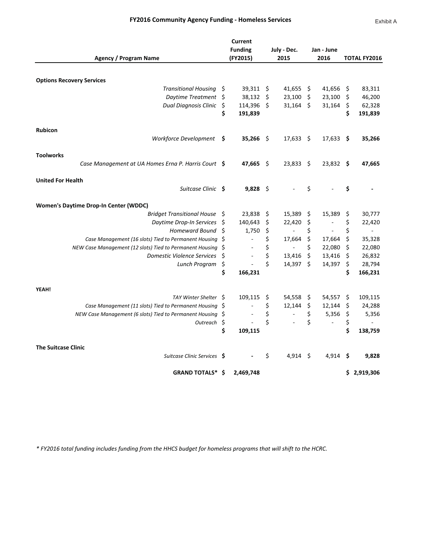### FY2016 Community Agency Funding - Homeless Services

|                                                             |         | <b>Current</b>           |     |                  |     |                |      |                     |
|-------------------------------------------------------------|---------|--------------------------|-----|------------------|-----|----------------|------|---------------------|
|                                                             |         | <b>Funding</b>           |     | July - Dec.      |     | Jan - June     |      |                     |
| Agency / Program Name                                       |         | (FY2015)                 |     | 2015             |     | 2016           |      | <b>TOTAL FY2016</b> |
|                                                             |         |                          |     |                  |     |                |      |                     |
| <b>Options Recovery Services</b>                            |         |                          |     |                  |     |                |      |                     |
| <b>Transitional Housing</b>                                 | \$      | 39,311 \$                |     | 41,655           | \$  | 41,656         | \$   | 83,311              |
| Daytime Treatment                                           | -\$     | 38,132                   | \$  | 23,100           | \$  | 23,100         | \$   | 46,200              |
| <b>Dual Diagnosis Clinic</b>                                | \$      | 114,396 \$               |     | $31,164$ \$      |     | 31,164         | \$   | 62,328              |
|                                                             | \$      | 191,839                  |     |                  |     |                | \$   | 191,839             |
|                                                             |         |                          |     |                  |     |                |      |                     |
| <b>Rubicon</b>                                              |         |                          |     |                  |     |                |      |                     |
| Workforce Development \$                                    |         | 35,266 \$                |     | $17,633$ \$      |     | 17,633         | - \$ | 35,266              |
|                                                             |         |                          |     |                  |     |                |      |                     |
| <b>Toolworks</b>                                            |         |                          |     |                  |     |                |      |                     |
| Case Management at UA Homes Erna P. Harris Court \$         |         | 47,665 \$                |     | $23,833 \quad $$ |     | $23,832$ \$    |      | 47,665              |
|                                                             |         |                          |     |                  |     |                |      |                     |
| <b>United For Health</b>                                    |         |                          |     |                  |     |                |      |                     |
| Suitcase Clinic \$                                          |         | $9,828$ \$               |     |                  | Ś.  |                | \$   |                     |
| <b>Women's Daytime Drop-In Center (WDDC)</b>                |         |                          |     |                  |     |                |      |                     |
| <b>Bridget Transitional House</b>                           | -\$     | 23,838                   | -\$ | 15,389           | \$. | 15,389         | \$   | 30,777              |
| Daytime Drop-In Services                                    | .S      | 140,643                  | \$  | 22,420           | \$  |                | \$   | 22,420              |
| <b>Homeward Bound</b>                                       | \$      | 1,750                    | \$  | $\blacksquare$   | \$  | $\blacksquare$ | \$   | $\blacksquare$      |
| Case Management (16 slots) Tied to Permanent Housing \$     |         | $\overline{\phantom{a}}$ | \$  | 17,664           | \$  | 17,664         | \$   | 35,328              |
| NEW Case Management (12 slots) Tied to Permanent Housing \$ |         |                          | \$  | $\blacksquare$   | \$  | 22,080         | \$   | 22,080              |
| <b>Domestic Violence Services</b>                           | \$      |                          | \$  | 13,416           | \$  | 13,416         | \$   | 26,832              |
| Lunch Program                                               | \$      | $\tilde{\phantom{a}}$    | \$  | 14,397           | Ŝ.  | 14,397         | \$   | 28,794              |
|                                                             | \$      | 166,231                  |     |                  |     |                | \$   | 166,231             |
|                                                             |         |                          |     |                  |     |                |      |                     |
| YEAH!                                                       |         |                          |     |                  |     |                |      |                     |
| TAY Winter Shelter \$                                       |         | 109,115                  | \$  | 54,558           | -\$ | 54,557         | \$   | 109,115             |
| Case Management (11 slots) Tied to Permanent Housing \$     |         |                          | \$  | 12,144           | \$  | 12,144         | \$   | 24,288              |
| NEW Case Management (6 slots) Tied to Permanent Housing     | Ş       |                          | \$  |                  | \$  | 5,356          | \$   | 5,356               |
| Outreach                                                    | $\zeta$ |                          | \$  |                  | \$  |                | \$   |                     |
|                                                             | \$      | 109,115                  |     |                  |     |                | \$   | 138,759             |
| <b>The Suitcase Clinic</b>                                  |         |                          |     |                  |     |                |      |                     |
| Suitcase Clinic Services \$                                 |         |                          | \$  | 4,914 \$         |     | 4,914          | -\$  | 9,828               |
| <b>GRAND TOTALS* \$</b>                                     |         | 2,469,748                |     |                  |     |                |      | \$2,919,306         |

\* FY2016 total funding includes funding from the HHCS budget for homeless programs that will shift to the HCRC.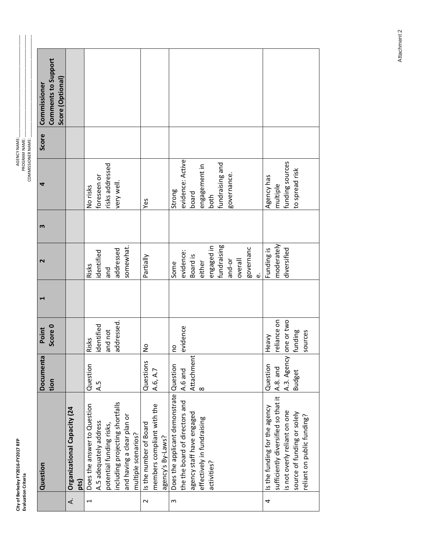| E<br>ž |   |
|--------|---|
|        | I |
|        |   |

|   | Question                                      | Documenta        | Point         | ↽ | $\mathbf{\mathsf{N}}$ | m | 4                | Score | Commissioner        |  |
|---|-----------------------------------------------|------------------|---------------|---|-----------------------|---|------------------|-------|---------------------|--|
|   |                                               | tion             | Score 0       |   |                       |   |                  |       | Comments to Support |  |
|   |                                               |                  |               |   |                       |   |                  |       | Score (Optional)    |  |
| ₹ | Organizational Capacity (24<br>pts)           |                  |               |   |                       |   |                  |       |                     |  |
| ſ | Does the answer to Question                   | Question         | Risks         |   | Risks                 |   | No risks         |       |                     |  |
|   | A.5 adequately address                        | 4.5              | identified    |   | identified            |   | foreseen or      |       |                     |  |
|   | potential funding risks,                      |                  | and not       |   | and                   |   | risks addressed  |       |                     |  |
|   | ncluding projecting shortfalls                |                  | addressed.    |   | addressed             |   | very well.       |       |                     |  |
|   | and having a clear plan or                    |                  |               |   | somewhat.             |   |                  |       |                     |  |
|   | multiple scenarios?                           |                  |               |   |                       |   |                  |       |                     |  |
| 2 | Is the number of Board                        | <b>Questions</b> | $\frac{1}{2}$ |   | Partially             |   | Yes              |       |                     |  |
|   | members compliant with the                    | A.6, A.7         |               |   |                       |   |                  |       |                     |  |
|   | agency's By-Laws?                             |                  |               |   |                       |   |                  |       |                     |  |
| S | Does the applicant demonstrate Question       |                  | <b>DO</b>     |   | Some                  |   | Strong           |       |                     |  |
|   | the the board of directors and                | A.6 and          | evidence      |   | evidence:             |   | evidence: Active |       |                     |  |
|   | agency staff have engaged                     | Attachment       |               |   | Board is              |   | board            |       |                     |  |
|   | effectively in fundraising                    | $\infty$         |               |   | either                |   | engagement in    |       |                     |  |
|   | activities?                                   |                  |               |   | engaged in            |   | both             |       |                     |  |
|   |                                               |                  |               |   | fundraising           |   | fundraising and  |       |                     |  |
|   |                                               |                  |               |   | and-or                |   | governance.      |       |                     |  |
|   |                                               |                  |               |   | overall               |   |                  |       |                     |  |
|   |                                               |                  |               |   | governanc             |   |                  |       |                     |  |
|   |                                               |                  |               |   | نه                    |   |                  |       |                     |  |
| 4 | is the funding for the agency                 | Question         | Heavy         |   | Funding is            |   | Agency has       |       |                     |  |
|   | sufficiently diversified so that it  A.8. and |                  | reliance on   |   | moderately            |   | multiple         |       |                     |  |
|   | is not overly reliant on one                  | A.3. Agency      | one or two    |   | diversified           |   | funding sources  |       |                     |  |
|   | source of funding or solely                   | <b>Budget</b>    | funding       |   |                       |   | to spread risk   |       |                     |  |
|   | reliant on public funding?                    |                  | sources       |   |                       |   |                  |       |                     |  |
|   |                                               |                  |               |   |                       |   |                  |       |                     |  |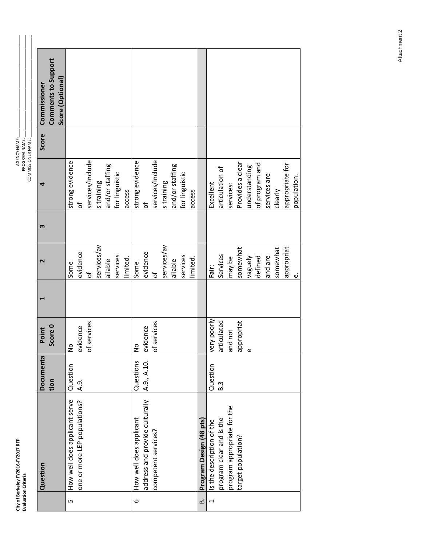| 뷴<br>į<br>ξ<br>s |  |
|------------------|--|
|                  |  |

| Comments to Support<br>Score (Optional)<br>Commissioner |                                                               |                  |             |                 |                |          |                         |                                |                     |             |                 |                |          |                         |                           |                          |                             |                    |               |                |              |                            |
|---------------------------------------------------------|---------------------------------------------------------------|------------------|-------------|-----------------|----------------|----------|-------------------------|--------------------------------|---------------------|-------------|-----------------|----------------|----------|-------------------------|---------------------------|--------------------------|-----------------------------|--------------------|---------------|----------------|--------------|----------------------------|
| <b>Score</b>                                            |                                                               |                  |             |                 |                |          |                         |                                |                     |             |                 |                |          |                         |                           |                          |                             |                    |               |                |              |                            |
| 4                                                       | strong evidence<br>Ⴆ                                          | services/Include | straining   | and/or staffing | for linguistic | access   | strong evidence         | ჼႣ                             | services/Include    | s training  | and/or staffing | for linguistic | access   |                         | Excellent                 | articulation of          | services:                   | Provides a clear   | understanding | of program and | services are | appropriate for<br>clearly |
| m                                                       |                                                               |                  |             |                 |                |          |                         |                                |                     |             |                 |                |          |                         |                           |                          |                             |                    |               |                |              |                            |
| 2                                                       | evidence<br>Some                                              | Ⴆ                | services/av | ailable         | services       | limited. | Some                    | evidence                       | đ                   | services/av | ailable         | services       | limited. |                         | Fair:                     | Services                 | may be                      | somewhat           | Vaguely       | defined        | and are      | somewhat                   |
|                                                         |                                                               |                  |             |                 |                |          |                         |                                |                     |             |                 |                |          |                         |                           |                          |                             |                    |               |                |              |                            |
| Score 0<br>Point                                        | avidence<br>$\frac{1}{2}$                                     | of services      |             |                 |                |          | $\tilde{z}$             | evidence                       | of services         |             |                 |                |          |                         | very poorly               | articulated              | and not                     | appropriat         |               |                |              |                            |
| Documenta<br>tion                                       | Question<br>$\overline{A}$ .9.                                |                  |             |                 |                |          | Questions               | A.9., A.10.                    |                     |             |                 |                |          |                         | Question                  | B.3                      |                             |                    |               |                |              |                            |
| Question                                                | How well does applicant serve<br>one or more LEP populations? |                  |             |                 |                |          | How well does applicant | address and provide culturally | competent services? |             |                 |                |          | Program Design (48 pts) | Is the description of the | program clear and is the | program appropriate for the | target population? |               |                |              |                            |
|                                                         | Б                                                             |                  |             |                 |                |          | 6                       |                                |                     |             |                 |                |          | ம்                      | $\overline{\phantom{0}}$  |                          |                             |                    |               |                |              |                            |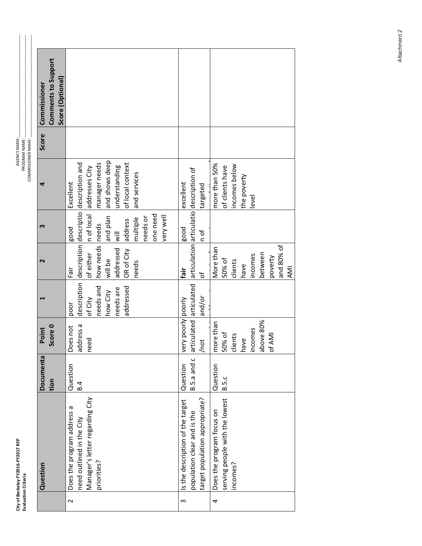| Ē                           |    |
|-----------------------------|----|
| į<br>Č<br>⋍<br><u>ក្ខព្</u> |    |
| Ξ                           | ë  |
| eley                        |    |
|                             |    |
| Berl                        | ē  |
| ≓                           |    |
| ζ.                          |    |
|                             | n. |

|        | Question                                                                                                  | Documenta                | Point                                                                    |                                                                    | $\overline{\mathbf{C}}$                                                                      | S                                                                                                           |                                                                                                                                                                                      | Score | Commissioner                            |
|--------|-----------------------------------------------------------------------------------------------------------|--------------------------|--------------------------------------------------------------------------|--------------------------------------------------------------------|----------------------------------------------------------------------------------------------|-------------------------------------------------------------------------------------------------------------|--------------------------------------------------------------------------------------------------------------------------------------------------------------------------------------|-------|-----------------------------------------|
|        |                                                                                                           | tion                     | Score 0                                                                  |                                                                    |                                                                                              |                                                                                                             |                                                                                                                                                                                      |       | Comments to Support<br>Score (Optional) |
| $\sim$ | Manager's letter regarding City<br>Does the program address a<br>need outlined in the City<br>priorities? | Question<br>B.4          | address a<br>Does not<br>need                                            | needs and<br>addressed<br>needs are<br>how City<br>of City<br>poor | how needs needs<br>addressed<br>of either<br>OR of City<br>will be<br>needs<br>Fair          | and plan<br>one need<br>very well<br>needs or<br>multiple<br>address<br><b>Bood</b><br>$\frac{1}{\sqrt{2}}$ | and shows deep<br>manager needs<br>description description descriptio description and<br>of local context<br>understanding<br>n of local addresses City<br>and services<br>Excellent |       |                                         |
| S      | Is the description of the target<br>target population appropriate?<br>population clear and is the         | B.5.a and c<br>Question  | very poorly poorly<br>/not                                               | and/or                                                             | fair<br>Ⴆ                                                                                    | pood<br>n of                                                                                                | articulated articulated articulation articulatio description of<br>excellent<br>targeted                                                                                             |       |                                         |
| 4      | serving people with the lowest<br>Does the program focus on<br>incomes?                                   | Question<br><b>B.5.c</b> | above 80%<br>more than<br>incomes<br>50% of<br>clients<br>of AMI<br>have |                                                                    | and 80% of<br>More than<br>between<br>incomes<br>poverty<br>50% of<br>clients<br>have<br>AMI |                                                                                                             | more than 50%<br>incomes below<br>of clients have<br>the poverty<br>level                                                                                                            |       |                                         |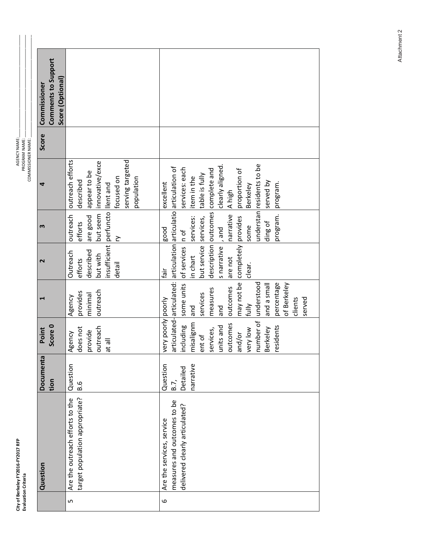| 많<br>Ξ.<br>ë.<br>≅<br>Ë<br>Ξ<br>ã<br>៖<br>j | Ē |
|---------------------------------------------|---|
|                                             |   |

|                         | Comments to Support | Score (Optional) |                                 |                                |              |                 |                                  |            |                  |            |                           |                                                                         |                                |             |                       |                                   |                   |           |                     |                 |                           |                 |            |             |         |        |  |
|-------------------------|---------------------|------------------|---------------------------------|--------------------------------|--------------|-----------------|----------------------------------|------------|------------------|------------|---------------------------|-------------------------------------------------------------------------|--------------------------------|-------------|-----------------------|-----------------------------------|-------------------|-----------|---------------------|-----------------|---------------------------|-----------------|------------|-------------|---------|--------|--|
| Commissioner<br>Score   |                     |                  |                                 |                                |              |                 |                                  |            |                  |            |                           |                                                                         |                                |             |                       |                                   |                   |           |                     |                 |                           |                 |            |             |         |        |  |
|                         |                     |                  | outreach efforts                | described                      | appear to be | innovative/exce |                                  | focused on | serving targeted | population | excellent                 | articulated-articulated:   articulation   articulatio   articulation of | services: each                 | item in the | table is fully        | description outcomes complete and | clearly aligned.  | A high    | proportion of       | <b>Berkeley</b> | understan residents to be | served by       | program.   |             |         |        |  |
| m                       |                     |                  | outreach                        | efforts                        | are good     | but seem        |                                  | ζ          |                  |            | <b>pood</b>               |                                                                         |                                | services:   |                       |                                   |                   | narrative |                     | some            |                           | ding of         | program.   |             |         |        |  |
| $\overline{\mathbf{C}}$ |                     |                  | Outreach                        | efforts                        | described    | but with        | insufficient perfuncto llent and | detail     |                  |            | tāir                      |                                                                         |                                | in chart    | but service services, |                                   | s narrative , and | are not   | completely provides | clear.          |                           |                 |            |             |         |        |  |
|                         |                     |                  | Agency                          | provides                       | minimal      | outreach        |                                  |            |                  |            |                           |                                                                         | some units of services n of    | and         | services              | measures                          | land              | outcomes  | may not be          | fully           | understood                | and a small     | percentage | of Berkeley | clients | served |  |
| Point                   | Score 0             |                  | Agency                          | does not                       | provide      | outreach        | lle te                           |            |                  |            | very poorly poorly        |                                                                         | ncluding                       | misalignm   | ent of                | services,                         | units and         | outcomes  | and/or              | very low        | number of                 | <b>Berkeley</b> | esidents   |             |         |        |  |
| Documenta               | tion                |                  | Question                        | B.6                            |              |                 |                                  |            |                  |            | Question                  | B.7,                                                                    | Detailed                       | narrative   |                       |                                   |                   |           |                     |                 |                           |                 |            |             |         |        |  |
| Question                |                     |                  | Are the outreach efforts to the | target population appropriate? |              |                 |                                  |            |                  |            | Are the services, service | measures and outcomes to be                                             | delivered clearly articulated? |             |                       |                                   |                   |           |                     |                 |                           |                 |            |             |         |        |  |
|                         |                     |                  | 5                               |                                |              |                 |                                  |            |                  |            | 6                         |                                                                         |                                |             |                       |                                   |                   |           |                     |                 |                           |                 |            |             |         |        |  |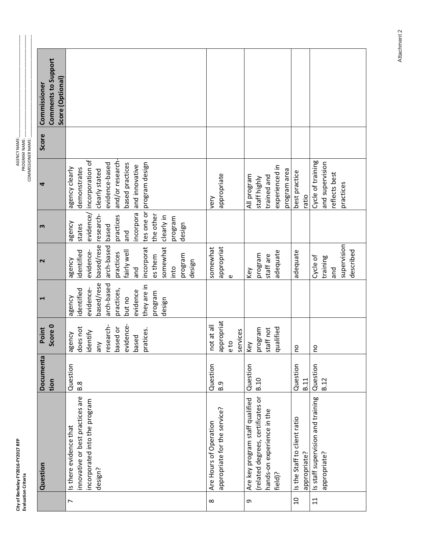| 뉻<br>š<br>í<br>غ<br>چ<br>ŗ<br>é<br>řk<br>- |  |
|--------------------------------------------|--|
|                                            |  |

| design<br>arch-based based<br>and<br>based/rese<br>supervision<br>incorporat<br>somewhat<br>somewhat<br>appropriat<br>fairly well<br>identified<br>evidence-<br>described<br>adequate<br>adequate<br>practices<br>program<br>program<br>staff are<br>es them<br>Cycle of<br>training<br>agency<br>design<br>into<br>pue<br>and<br>Key<br>$\omega$<br>based/rese<br>arch-based<br>they are in<br>evidence-<br>identified<br>practices,<br>evidence<br>program<br>agency<br>but no<br>design<br>appropriat<br>evidence-<br>Score 0<br>not at all<br>research-<br>does not<br>program<br>qualified<br>based or<br>staff not<br>pratices.<br>services<br>identify<br>agency<br>based<br>e to<br>any<br>Key<br><b>DO</b><br><b>DO</b><br>Question<br>Question<br>Question<br>Question<br>Question<br><b>B.10</b><br>B.11<br>B.12<br>tion<br>B.8<br>B.9<br>innovative or best practices are<br>(related degrees, certificates or<br>Is staff supervision and training<br>Are key program staff qualified<br>incorporated into the program<br>appropriate for the service?<br>hands-on experience in the<br>Is the Staff to client ratio<br>Are Hours of Operation<br>Is there evidence that<br>appropriate?<br>appropriate?<br>Question<br>design?<br>field)?<br>$\overline{11}$<br>$\Omega$ | Point<br>Documenta | $\mathbf{\mathsf{N}}$ | m          | 4                          | Score | Commissioner        |  |
|----------------------------------------------------------------------------------------------------------------------------------------------------------------------------------------------------------------------------------------------------------------------------------------------------------------------------------------------------------------------------------------------------------------------------------------------------------------------------------------------------------------------------------------------------------------------------------------------------------------------------------------------------------------------------------------------------------------------------------------------------------------------------------------------------------------------------------------------------------------------------------------------------------------------------------------------------------------------------------------------------------------------------------------------------------------------------------------------------------------------------------------------------------------------------------------------------------------------------------------------------------------------------------------|--------------------|-----------------------|------------|----------------------------|-------|---------------------|--|
|                                                                                                                                                                                                                                                                                                                                                                                                                                                                                                                                                                                                                                                                                                                                                                                                                                                                                                                                                                                                                                                                                                                                                                                                                                                                                        |                    |                       |            |                            |       | Comments to Support |  |
|                                                                                                                                                                                                                                                                                                                                                                                                                                                                                                                                                                                                                                                                                                                                                                                                                                                                                                                                                                                                                                                                                                                                                                                                                                                                                        |                    |                       |            |                            |       | Score (Optional)    |  |
|                                                                                                                                                                                                                                                                                                                                                                                                                                                                                                                                                                                                                                                                                                                                                                                                                                                                                                                                                                                                                                                                                                                                                                                                                                                                                        |                    |                       | agency     | agency clearly             |       |                     |  |
|                                                                                                                                                                                                                                                                                                                                                                                                                                                                                                                                                                                                                                                                                                                                                                                                                                                                                                                                                                                                                                                                                                                                                                                                                                                                                        |                    |                       | states     | demonstrates               |       |                     |  |
|                                                                                                                                                                                                                                                                                                                                                                                                                                                                                                                                                                                                                                                                                                                                                                                                                                                                                                                                                                                                                                                                                                                                                                                                                                                                                        |                    |                       |            | evidence/ incorporation of |       |                     |  |
|                                                                                                                                                                                                                                                                                                                                                                                                                                                                                                                                                                                                                                                                                                                                                                                                                                                                                                                                                                                                                                                                                                                                                                                                                                                                                        |                    |                       | research-  | clearly stated             |       |                     |  |
|                                                                                                                                                                                                                                                                                                                                                                                                                                                                                                                                                                                                                                                                                                                                                                                                                                                                                                                                                                                                                                                                                                                                                                                                                                                                                        |                    |                       |            | evidence-based             |       |                     |  |
|                                                                                                                                                                                                                                                                                                                                                                                                                                                                                                                                                                                                                                                                                                                                                                                                                                                                                                                                                                                                                                                                                                                                                                                                                                                                                        |                    |                       | practices  | and/or research-           |       |                     |  |
|                                                                                                                                                                                                                                                                                                                                                                                                                                                                                                                                                                                                                                                                                                                                                                                                                                                                                                                                                                                                                                                                                                                                                                                                                                                                                        |                    |                       |            | based practices            |       |                     |  |
|                                                                                                                                                                                                                                                                                                                                                                                                                                                                                                                                                                                                                                                                                                                                                                                                                                                                                                                                                                                                                                                                                                                                                                                                                                                                                        |                    |                       | incorpora  | and innovative             |       |                     |  |
|                                                                                                                                                                                                                                                                                                                                                                                                                                                                                                                                                                                                                                                                                                                                                                                                                                                                                                                                                                                                                                                                                                                                                                                                                                                                                        |                    |                       |            | tes one or program design  |       |                     |  |
|                                                                                                                                                                                                                                                                                                                                                                                                                                                                                                                                                                                                                                                                                                                                                                                                                                                                                                                                                                                                                                                                                                                                                                                                                                                                                        |                    |                       | the other  |                            |       |                     |  |
|                                                                                                                                                                                                                                                                                                                                                                                                                                                                                                                                                                                                                                                                                                                                                                                                                                                                                                                                                                                                                                                                                                                                                                                                                                                                                        |                    |                       | clearly in |                            |       |                     |  |
|                                                                                                                                                                                                                                                                                                                                                                                                                                                                                                                                                                                                                                                                                                                                                                                                                                                                                                                                                                                                                                                                                                                                                                                                                                                                                        |                    |                       | program    |                            |       |                     |  |
|                                                                                                                                                                                                                                                                                                                                                                                                                                                                                                                                                                                                                                                                                                                                                                                                                                                                                                                                                                                                                                                                                                                                                                                                                                                                                        |                    |                       |            |                            |       |                     |  |
|                                                                                                                                                                                                                                                                                                                                                                                                                                                                                                                                                                                                                                                                                                                                                                                                                                                                                                                                                                                                                                                                                                                                                                                                                                                                                        |                    |                       |            |                            |       |                     |  |
|                                                                                                                                                                                                                                                                                                                                                                                                                                                                                                                                                                                                                                                                                                                                                                                                                                                                                                                                                                                                                                                                                                                                                                                                                                                                                        |                    |                       |            |                            |       |                     |  |
|                                                                                                                                                                                                                                                                                                                                                                                                                                                                                                                                                                                                                                                                                                                                                                                                                                                                                                                                                                                                                                                                                                                                                                                                                                                                                        |                    |                       |            | very                       |       |                     |  |
|                                                                                                                                                                                                                                                                                                                                                                                                                                                                                                                                                                                                                                                                                                                                                                                                                                                                                                                                                                                                                                                                                                                                                                                                                                                                                        |                    |                       |            | appropriate                |       |                     |  |
|                                                                                                                                                                                                                                                                                                                                                                                                                                                                                                                                                                                                                                                                                                                                                                                                                                                                                                                                                                                                                                                                                                                                                                                                                                                                                        |                    |                       |            |                            |       |                     |  |
|                                                                                                                                                                                                                                                                                                                                                                                                                                                                                                                                                                                                                                                                                                                                                                                                                                                                                                                                                                                                                                                                                                                                                                                                                                                                                        |                    |                       |            |                            |       |                     |  |
|                                                                                                                                                                                                                                                                                                                                                                                                                                                                                                                                                                                                                                                                                                                                                                                                                                                                                                                                                                                                                                                                                                                                                                                                                                                                                        |                    |                       |            | All program                |       |                     |  |
|                                                                                                                                                                                                                                                                                                                                                                                                                                                                                                                                                                                                                                                                                                                                                                                                                                                                                                                                                                                                                                                                                                                                                                                                                                                                                        |                    |                       |            | staff highly               |       |                     |  |
|                                                                                                                                                                                                                                                                                                                                                                                                                                                                                                                                                                                                                                                                                                                                                                                                                                                                                                                                                                                                                                                                                                                                                                                                                                                                                        |                    |                       |            | trained and                |       |                     |  |
|                                                                                                                                                                                                                                                                                                                                                                                                                                                                                                                                                                                                                                                                                                                                                                                                                                                                                                                                                                                                                                                                                                                                                                                                                                                                                        |                    |                       |            | experienced in             |       |                     |  |
|                                                                                                                                                                                                                                                                                                                                                                                                                                                                                                                                                                                                                                                                                                                                                                                                                                                                                                                                                                                                                                                                                                                                                                                                                                                                                        |                    |                       |            | program area               |       |                     |  |
|                                                                                                                                                                                                                                                                                                                                                                                                                                                                                                                                                                                                                                                                                                                                                                                                                                                                                                                                                                                                                                                                                                                                                                                                                                                                                        |                    |                       |            | best practice              |       |                     |  |
|                                                                                                                                                                                                                                                                                                                                                                                                                                                                                                                                                                                                                                                                                                                                                                                                                                                                                                                                                                                                                                                                                                                                                                                                                                                                                        |                    |                       |            | ratio                      |       |                     |  |
|                                                                                                                                                                                                                                                                                                                                                                                                                                                                                                                                                                                                                                                                                                                                                                                                                                                                                                                                                                                                                                                                                                                                                                                                                                                                                        |                    |                       |            | Cycle of training          |       |                     |  |
|                                                                                                                                                                                                                                                                                                                                                                                                                                                                                                                                                                                                                                                                                                                                                                                                                                                                                                                                                                                                                                                                                                                                                                                                                                                                                        |                    |                       |            | and supervision            |       |                     |  |
|                                                                                                                                                                                                                                                                                                                                                                                                                                                                                                                                                                                                                                                                                                                                                                                                                                                                                                                                                                                                                                                                                                                                                                                                                                                                                        |                    |                       |            | reflects best              |       |                     |  |
|                                                                                                                                                                                                                                                                                                                                                                                                                                                                                                                                                                                                                                                                                                                                                                                                                                                                                                                                                                                                                                                                                                                                                                                                                                                                                        |                    |                       |            | practices                  |       |                     |  |
|                                                                                                                                                                                                                                                                                                                                                                                                                                                                                                                                                                                                                                                                                                                                                                                                                                                                                                                                                                                                                                                                                                                                                                                                                                                                                        |                    |                       |            |                            |       |                     |  |
|                                                                                                                                                                                                                                                                                                                                                                                                                                                                                                                                                                                                                                                                                                                                                                                                                                                                                                                                                                                                                                                                                                                                                                                                                                                                                        |                    |                       |            |                            |       |                     |  |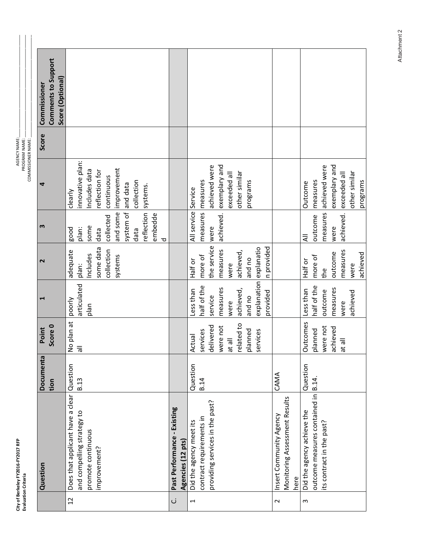| 많<br>Ξ.<br>⋍<br>ř<br>ť | ć |
|------------------------|---|
|                        |   |

AGENCY NAME:<br>PROGRAM NAME:<br>COMMISSIONER NAME: \_\_\_

|                          | Question                         | Documenta    | Point           |                        | $\mathbf{\mathsf{N}}$ | m                   | 4                | Score | Commissioner        |
|--------------------------|----------------------------------|--------------|-----------------|------------------------|-----------------------|---------------------|------------------|-------|---------------------|
|                          |                                  | tion         | Score 0         |                        |                       |                     |                  |       | Comments to Support |
|                          |                                  |              |                 |                        |                       |                     |                  |       | Score (Optional)    |
| $\overline{c}$           | Does that applicant have a clear | Question     | No plan at      | poorly                 | adequate              | good                | clearly          |       |                     |
|                          | and compelling strategy to       | <b>B.13</b>  | $\overline{5}$  | articulated            | plan:                 | plan:               | innovative plan: |       |                     |
|                          | promote continuous               |              |                 | plan                   | Includes              | some                | Includes data    |       |                     |
|                          | improvement?                     |              |                 |                        | some data             | data                | reflection for   |       |                     |
|                          |                                  |              |                 |                        | collection            | collected           | continuous       |       |                     |
|                          |                                  |              |                 |                        | systems               | and some            | improvement      |       |                     |
|                          |                                  |              |                 |                        |                       | system of           | and data         |       |                     |
|                          |                                  |              |                 |                        |                       | data                | collection       |       |                     |
|                          |                                  |              |                 |                        |                       | reflection          | systems.         |       |                     |
|                          |                                  |              |                 |                        |                       | embedde<br>ರ        |                  |       |                     |
| ن                        | Past Performance - Existing      |              |                 |                        |                       |                     |                  |       |                     |
|                          | Agencies (12 pts)                |              |                 |                        |                       |                     |                  |       |                     |
| $\overline{\phantom{0}}$ | Did the agency meet its          | Question     | Actual          | Less than              | Half or               | All service Service |                  |       |                     |
|                          | contract requirements in         | B.14         | services        | half of the            | more of               | measures   measures |                  |       |                     |
|                          | providing services in the past?  |              | delivered       | service                | the service           | were                | achieved were    |       |                     |
|                          |                                  |              | were not        | measures               | measures              | achieved.           | exemplary and    |       |                     |
|                          |                                  |              | lle ta          | were                   | were                  |                     | exceeded all     |       |                     |
|                          |                                  |              | related to      | achieved,              | achieved,             |                     | other similar    |       |                     |
|                          |                                  |              | planned         | and no                 | and no                |                     | programs         |       |                     |
|                          |                                  |              | services        | explanation explanatio |                       |                     |                  |       |                     |
|                          |                                  |              |                 | provided               | n provided            |                     |                  |       |                     |
| $\sim$                   | Insert Community Agency          | CAMA         |                 |                        |                       |                     |                  |       |                     |
|                          | Monitoring Assessment Results    |              |                 |                        |                       |                     |                  |       |                     |
|                          | here                             |              |                 |                        |                       |                     |                  |       |                     |
| ω                        | Did the agency achieve the       | Question     | <b>Outcomes</b> | Less than              | Half or               | ₹                   | Outcome          |       |                     |
|                          | outcome measures contained in    | <b>B.14.</b> | planned         | half of the            | more of               | outcome             | measures         |       |                     |
|                          | its contract in the past?        |              | were not        | outcome                | the                   | measures            | achieved were    |       |                     |
|                          |                                  |              | achieved        | measures               | outcome               | were                | exemplary and    |       |                     |
|                          |                                  |              | at all          | were                   | measures              | achieved.           | exceeded all     |       |                     |
|                          |                                  |              |                 | achieved               | were                  |                     | other similar    |       |                     |
|                          |                                  |              |                 |                        | achieved              |                     | programs         |       |                     |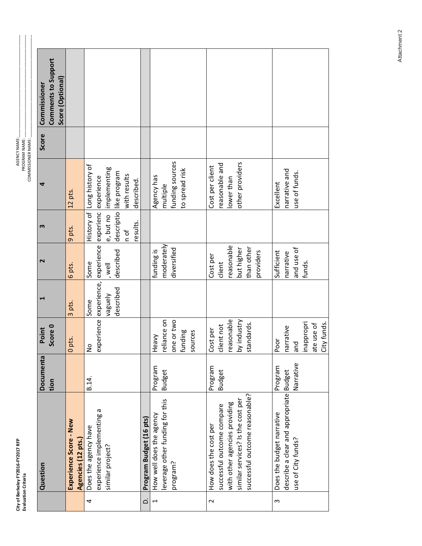| 뜮<br>s<br>ŗ<br>٦<br>z<br>r<br>÷ |  |
|---------------------------------|--|
|                                 |  |

|                | Question                                                                                                                                                    | Documenta                | Point                                                               |                                                                                        | $\sim$                                                                    | m                                                        | 4                                                                             | Score | Commissioner                            |
|----------------|-------------------------------------------------------------------------------------------------------------------------------------------------------------|--------------------------|---------------------------------------------------------------------|----------------------------------------------------------------------------------------|---------------------------------------------------------------------------|----------------------------------------------------------|-------------------------------------------------------------------------------|-------|-----------------------------------------|
|                |                                                                                                                                                             | tion                     | Score 0                                                             |                                                                                        |                                                                           |                                                          |                                                                               |       | Comments to Support<br>Score (Optional) |
|                | Experience Score - New<br>Agencies (12 pts.)                                                                                                                |                          | 10 pts.                                                             | 3 pts.                                                                                 | 6 pts.                                                                    | 9 pts.                                                   | 12 pts.                                                                       |       |                                         |
| 4              | experience implementing a<br>Does the agency have<br>similar project?                                                                                       | B.14.                    | $\frac{1}{2}$                                                       | experience experience, experience experienc experience<br>described<br>vaguely<br>Some | described<br>Some<br>, well                                               | History of<br>descriptio<br>e, but no<br>esults.<br>n of | Long history of<br>implementing<br>like program<br>with results<br>described. |       |                                         |
| خ              | Program Budget (16 pts)                                                                                                                                     |                          |                                                                     |                                                                                        |                                                                           |                                                          |                                                                               |       |                                         |
| $\overline{ }$ | everage other funding for this<br>How well does the agency<br>program?                                                                                      | Program<br><b>Budget</b> | reliance on<br>one or two<br>funding<br>sources<br>Heavy            |                                                                                        | moderately<br>diversified<br>funding is                                   |                                                          | funding sources<br>to spread risk<br>Agency has<br>multiple                   |       |                                         |
| $\sim$         | successful outcome reasonable?<br>similar services? Is the cost per<br>with other agencies providing<br>successful outcome compare<br>How does the cost per | Program<br><b>Budget</b> | reasonable<br>by industry<br>standards.<br>client not<br>Cost per   |                                                                                        | reasonable<br>than other<br>but higher<br>providers<br>Cost per<br>client |                                                          | other providers<br>easonable and<br>Cost per client<br>lower than             |       |                                         |
| S              | describe a clear and appropriate Budget<br>Does the budget narrative<br>use of City funds?                                                                  | Narrative<br>Program     | inappropri<br>City funds.<br>ate use of<br>narrative<br>Poor<br>pue |                                                                                        | and use of<br>Sufficient<br>narrative<br>funds.                           |                                                          | narrative and<br>use of funds.<br>Excellent                                   |       |                                         |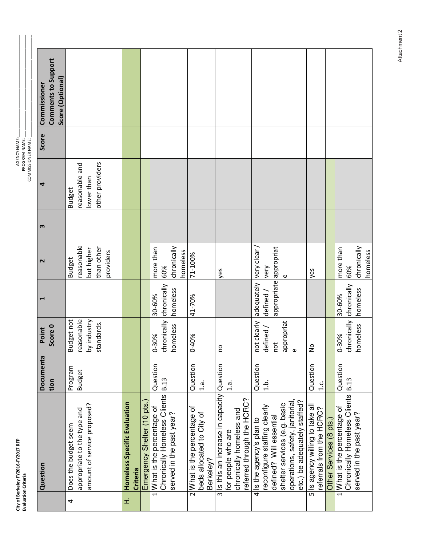| i k               |  |
|-------------------|--|
| .,<br>יירוסי<br>י |  |
| فْ                |  |
| <b>201</b>        |  |
| Ğ<br>Ť<br>keley   |  |
| Berk              |  |
| Ξ                 |  |
|                   |  |

 $\overline{\phantom{a}}$ 

 $\overline{\phantom{a}}$ 

| tion<br>Question                                                                                                                                                        | Documenta | Score 0<br>Point |                       |                                                                      |                                                                  | Score | Comments to Support<br>Score (Optional)<br> Commissioner |
|-------------------------------------------------------------------------------------------------------------------------------------------------------------------------|-----------|------------------|-----------------------|----------------------------------------------------------------------|------------------------------------------------------------------|-------|----------------------------------------------------------|
| Budget not<br>reasonable<br>by industry<br>standards.<br>Program<br><b>Budget</b><br>amount of service proposed?<br>appropriate to the type and<br>Does the budget seem |           |                  |                       | reasonable<br>than other<br>but higher<br>providers<br><b>Budget</b> | other providers<br>reasonable and<br>lower than<br><b>Budget</b> |       |                                                          |
| <b>Homeless Specific Evaluation</b><br>Criteria                                                                                                                         |           |                  |                       |                                                                      |                                                                  |       |                                                          |
| Emergency Shelter (10 pts.)                                                                                                                                             |           |                  |                       |                                                                      |                                                                  |       |                                                          |
| 0-30%<br>Question<br>1 What is the percentage of                                                                                                                        |           |                  | 30-60%                | more than                                                            |                                                                  |       |                                                          |
| chronically chronically<br>homeless<br><b>B.13</b><br>Chronically Homeless Clients<br>served in the past year?                                                          |           |                  | homeless              | chronically<br>60%                                                   |                                                                  |       |                                                          |
|                                                                                                                                                                         |           |                  |                       | homeless                                                             |                                                                  |       |                                                          |
| 0-40%<br>Question<br>$\frac{a}{1}$ .<br>2 What is the percentage of<br>beds allocated to City of<br>Berkeley?                                                           |           |                  | 41-70%                | 71-100%                                                              |                                                                  |       |                                                          |
| <b>DU</b><br>3 Is this an increase in capacity Question<br>$\frac{a}{1}$ .<br>referred through the HCRC?<br>chronically homeless and<br>for people who are              |           |                  |                       | yes                                                                  |                                                                  |       |                                                          |
| not clearly<br>defined /<br>not<br>Question<br>$\frac{1}{1}$ .<br>reconfigure staffing clearly<br>defined? Will essential<br>4 Is the agency's plan to                  |           |                  | adequately<br>defined | very clear<br>appropriate appropriat<br>very                         |                                                                  |       |                                                          |
| appropriat<br>$\omega$<br>operations, safety, janitorial,<br>etc.) be adequately staffed?<br>shelter services (e.g. basic                                               |           |                  |                       | $\pmb{\mathsf{v}}$                                                   |                                                                  |       |                                                          |
| $\frac{1}{2}$<br>Question<br>$1.\overline{C}$<br>s is agency willing to take all<br>referrals from the HCRC?                                                            |           |                  |                       | yes                                                                  |                                                                  |       |                                                          |
| Other Services (8 pts.)                                                                                                                                                 |           |                  |                       |                                                                      |                                                                  |       |                                                          |
| chronically chronically<br>0-30%<br>Question<br>Chronically Homeless Clients   B.13<br>1 What is the percentage of                                                      |           |                  | 30-60%                | more than<br>60%                                                     |                                                                  |       |                                                          |
| homeless<br>served in the past year?                                                                                                                                    |           |                  | homeless              | chronically<br>homeless                                              |                                                                  |       |                                                          |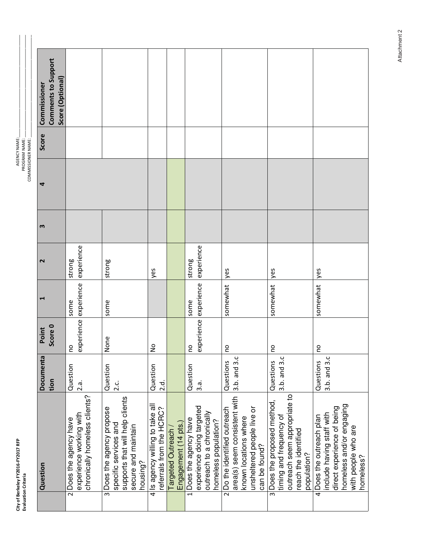| 푼<br>т,     |   |
|-------------|---|
| ف<br>201    |   |
| í.<br>ele.  |   |
| š<br>Ξ<br>z | ğ |

-GENCY NA ...<br>∑ PROGRA ב<br>⊳<br>ג ië<br>≥ ≥ ,一个小时,我们的人们都不能在这个时间,我们的人们都不能在这个时间的时间,我们的人们都不能在这个时间的时间,我们就会在这个时间的时间,我们就会在这个时间的时间, COMMISSIONER NA

| Question                                                                                                                                            | Documenta<br>tion         | Score 0<br>Point | ↤                             | $\mathbf{\mathsf{N}}$ | m | 4 | Score | Comments to Support<br>Score (Optional)<br>Commissioner |  |
|-----------------------------------------------------------------------------------------------------------------------------------------------------|---------------------------|------------------|-------------------------------|-----------------------|---|---|-------|---------------------------------------------------------|--|
| chronically homeless clients?<br>experience working with<br>2 Does the agency have                                                                  | Question<br>2.a.          | <b>DO</b>        | experience experience<br>some | experience<br>strong  |   |   |       |                                                         |  |
| supports that will help clients<br>3 Does the agency propose<br>specific services and<br>secure and maintain<br>housing?                            | Question<br>ن.<br>2.c     | None             | some                          | strong                |   |   |       |                                                         |  |
| 4 Is agency willing to take all<br>referrals from the HCRC?                                                                                         | Question<br>2.d.          | $\frac{1}{2}$    |                               | yes                   |   |   |       |                                                         |  |
| Engagement (14 pts.)<br>Targeted Outreach                                                                                                           |                           |                  |                               |                       |   |   |       |                                                         |  |
| experience doing targeted<br>outreach to a chronically<br>1 Does the agency have<br>homeless population?                                            | Question<br>3.a.          | <b>DO</b>        | experience experience<br>some | experience<br>strong  |   |   |       |                                                         |  |
| area(s) seem consistent with<br>unsheltered people live or<br>2 Do the identified outreach<br>known locations where<br>can be found?                | 3.b. and 3.c<br>Questions | <b>DO</b>        | somewhat                      | yes                   |   |   |       |                                                         |  |
| outreach seem appropriate to<br>3 Does the proposed method,<br>timing and frequency of<br>reach the identified<br>population?                       | 3.b. and 3.c<br>Questions | <b>DO</b>        | somewhat                      | yes                   |   |   |       |                                                         |  |
| homeless and/or engaging<br>direct experience of being<br>include having staff with<br>4 Does the outreach plan<br>with people who are<br>homeless? | 3.b. and 3.c<br>Questions | <b>DO</b>        | somewhat                      | yes                   |   |   |       |                                                         |  |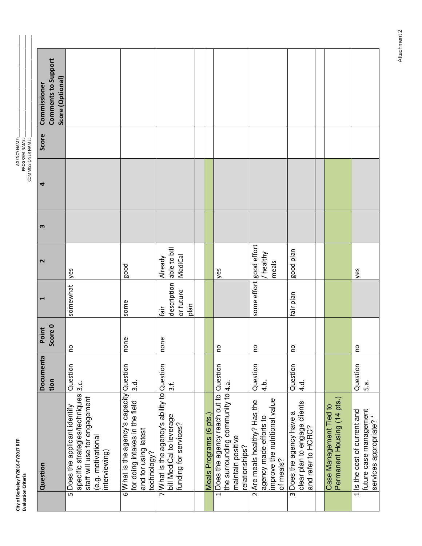-GENCY NA ...<br>∑ PROGRA ב<br>⊳<br>ג ië<br>≥ ≥ ,一个小时,我们的人们都不能在这个时间,我们的人们都不能在这个时间的时间,我们的人们都不能在这个时间的时间,我们就会在这个时间的时间,我们就会在这个时间的时间, COMMISSIONER NA 

| Question                                                                                                                                | Documenta<br>tion         | Score 0<br>Point | ᆏ                                        | $\sim$                             | m | 4 | Score | Comments to Support<br>Score (Optional)<br>Commissioner |  |
|-----------------------------------------------------------------------------------------------------------------------------------------|---------------------------|------------------|------------------------------------------|------------------------------------|---|---|-------|---------------------------------------------------------|--|
| specific strategies/techniques<br>staff will use for engagement<br>5 Does the applicant identify<br>(e.g. motivational<br>interviewing) | Question<br>ن<br>3        | <b>DU</b>        | somewhat                                 | yes                                |   |   |       |                                                         |  |
| 6 What is the agency's capacity Question<br>for doing intakes in the field<br>and for using latest<br>technology?                       | 3.d                       | none             | some                                     | good                               |   |   |       |                                                         |  |
| 7 What is the agency's ability to Question<br>bill MediCal to leverage<br>funding for services?                                         | 3.f.                      | none             | description<br>or future<br>plan<br>fair | able to bill<br>MediCal<br>Already |   |   |       |                                                         |  |
|                                                                                                                                         |                           |                  |                                          |                                    |   |   |       |                                                         |  |
| Meals Programs (6 pts.                                                                                                                  |                           |                  |                                          |                                    |   |   |       |                                                         |  |
| 1 Does the agency reach out to Question<br>the surrounding community to 4.a.<br>maintain positive<br>relationships?                     |                           | <b>PO</b>        |                                          | yes                                |   |   |       |                                                         |  |
| improve the nutritional value<br>2 Are meals healthy? Has the<br>agency made efforts to<br>of meals?                                    | Question<br>ف.<br>4.      | 2                | some effort                              | good effort<br>healthy<br>meals    |   |   |       |                                                         |  |
| clear plan to engage clients<br>3 Does the agency have a<br>and refer to HCRC?                                                          | Question<br>$\frac{1}{4}$ | ă                | fair plan                                | good plan                          |   |   |       |                                                         |  |
|                                                                                                                                         |                           |                  |                                          |                                    |   |   |       |                                                         |  |
| Permanent Housing (14 pts.)<br>Case Management Tied to                                                                                  |                           |                  |                                          |                                    |   |   |       |                                                         |  |
| 1 Is the cost of current and<br>future case management<br>services appropriate?*                                                        | Question<br>5.a           | $\overline{a}$   |                                          | yes                                |   |   |       |                                                         |  |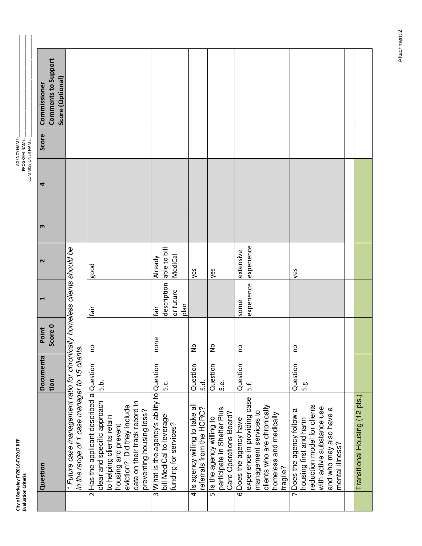| 문<br>è<br>ŗ<br>Š<br>ŗ<br>Ŏ<br>×.<br>قع<br>ž | ä<br>J |
|---------------------------------------------|--------|
|                                             |        |

 $\overline{a}$ 

-GENCY NA ...<br>∑ PROGRA ב<br>⊳<br>ג ië<br>≥ ≥ ,一个小时,我们的人们都不能在这个时间,我们的人们都不能在这个时间的时间,我们的人们都不能在这个时间的时间,我们就会在这个时间的时间,我们就会在这个时间的时间, COMMISSIONER NA

|                | Question                                                                                                                                                                                                               | Documenta             | Point          | ᆗ                                        | 2                                  | m | 4 | Score | Commissioner        |
|----------------|------------------------------------------------------------------------------------------------------------------------------------------------------------------------------------------------------------------------|-----------------------|----------------|------------------------------------------|------------------------------------|---|---|-------|---------------------|
|                |                                                                                                                                                                                                                        | tion                  | Score 0        |                                          |                                    |   |   |       | Comments to Support |
|                |                                                                                                                                                                                                                        |                       |                |                                          |                                    |   |   |       | Score (Optional)    |
|                | * Future case management ratio for chronically homeless clients should be<br>in the range of 1 case manager to 15 clients.                                                                                             |                       |                |                                          |                                    |   |   |       |                     |
|                | 2 Has the applicant described a Question<br>clear and specific approach<br>data on their track record in<br>eviction? Did they include<br>preventing housing loss?<br>to helping clients retain<br>housing and prevent | .a.<br>6.             | $\overline{c}$ | ile3                                     | good                               |   |   |       |                     |
|                | 3 What is the agency's ability to Question<br>bill MediCal to leverage<br>funding for services?                                                                                                                        | ن<br>م                | none           | description<br>or future<br>plan<br>tāir | able to bill<br>MediCal<br>Already |   |   |       |                     |
| 4              | Is agency willing to take all<br>referrals from the HCRC?                                                                                                                                                              | Question<br>5.d.      | $\frac{1}{2}$  |                                          | yes                                |   |   |       |                     |
|                | participate in Shelter Plus<br>Care Operations Board?<br>s ls the agency willing to                                                                                                                                    | Question<br>نه.<br>5. | $\frac{1}{2}$  |                                          | yes                                |   |   |       |                     |
|                | experience in providing case<br>clients who are chronically<br>management services to<br>homeless and medically<br>6 Does the agency have<br>fragile?                                                                  | Question<br>5.f.      | <u>o</u>       | experience<br>some                       | experience<br>extensive            |   |   |       |                     |
| $\overline{ }$ | reduction model for clients<br>with active substance use<br>and who may also have a<br>Does the agency follow a<br>housing first and harm<br>mental illness?                                                           | Question<br>g.<br>G   | <u>o</u>       |                                          | yes                                |   |   |       |                     |
|                |                                                                                                                                                                                                                        |                       |                |                                          |                                    |   |   |       |                     |
|                | Transitional Housing (12 pts.)                                                                                                                                                                                         |                       |                |                                          |                                    |   |   |       |                     |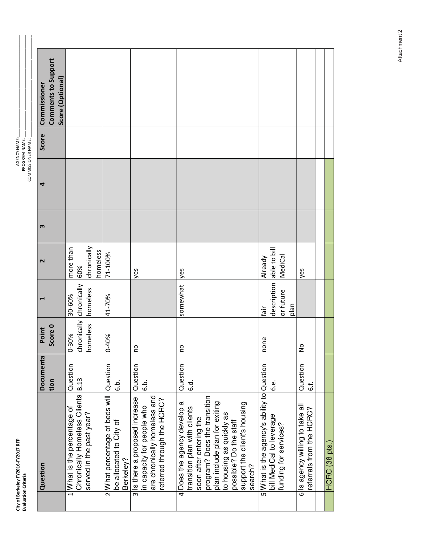| ă<br>ì<br>э<br>٠ |  |
|------------------|--|
| Ξ                |  |

-GENCY NA ...<br>∑ PROGRA ב<br>⊳<br>ג ië<br>≥ ≥ ,一个小时,我们的人们都不能在这个时间,我们的人们都不能在这个时间的时间,我们的人们都不能在这个时间的时间,我们就会在这个时间的时间,我们就会在这个时间的时间, COMMISSIONER NA

| Question                                                                                                                                                                                                                                                 | Documenta               | Point             | ᆏ                                             | $\sim$                             | m | 4 | Score | Commissioner                            |  |
|----------------------------------------------------------------------------------------------------------------------------------------------------------------------------------------------------------------------------------------------------------|-------------------------|-------------------|-----------------------------------------------|------------------------------------|---|---|-------|-----------------------------------------|--|
|                                                                                                                                                                                                                                                          | tion                    | Score 0           |                                               |                                    |   |   |       | Comments to Support<br>Score (Optional) |  |
| Chronically Homeless Clients<br>1 What is the percentage of<br>served in the past year?                                                                                                                                                                  | Question<br><b>B.13</b> | nomeless<br>0-30% | chronically chronically<br>homeless<br>30-60% | chronically<br>more than<br>60%    |   |   |       |                                         |  |
| 2 What percentage of beds will Question<br>be allocated to City of<br>Berkeley?                                                                                                                                                                          | .<br>ف                  | 0-40%             | 41-70%                                        | homeless<br>71-100%                |   |   |       |                                         |  |
| are chronically homeless and<br>3 Is there a proposed increase<br>referred through the HCRC?<br>in capacity for people who                                                                                                                               | Question<br>.<br>ق      | <u>o</u>          |                                               | yes                                |   |   |       |                                         |  |
| program? Does the transition<br>4 Does the agency develop a<br>plan include plan for exiting<br>support the client's housing<br>transition plan with clients<br>to housing as quickly as<br>soon after entering the<br>possible? Do the staff<br>search? | Question<br>6.d.        | 2 <sub>p</sub>    | somewhat                                      | yes                                |   |   |       |                                         |  |
| 5 What is the agency's ability to Question<br>bill MediCal to leverage<br>funding for services?                                                                                                                                                          | نه<br>ن                 | none              | description<br>or future<br>plan<br>fair      | able to bill<br>MediCal<br>Already |   |   |       |                                         |  |
| 6 Is agency willing to take all<br>referrals from the HCRC?                                                                                                                                                                                              | Question<br>نا<br>نا    | $\frac{1}{2}$     |                                               | yes                                |   |   |       |                                         |  |
|                                                                                                                                                                                                                                                          |                         |                   |                                               |                                    |   |   |       |                                         |  |
| HCRC (38 pts.)                                                                                                                                                                                                                                           |                         |                   |                                               |                                    |   |   |       |                                         |  |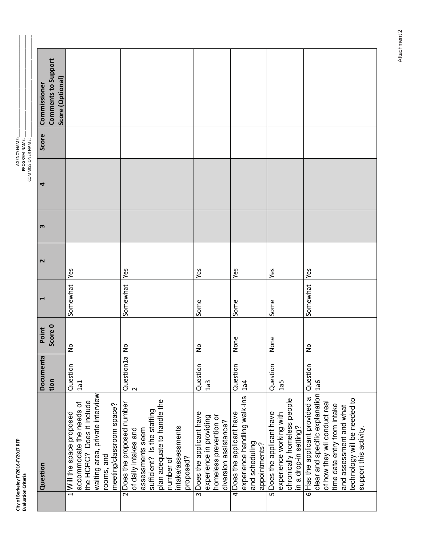-GENCY NA ...<br>∑ PROGRA ב<br>⊳<br>ג ië<br>≥ ≥ ,一个小时,我们的人们就会在这里,我们的人们就会在这里,我们的人们就会在这里,我们的人们就会在这里,我们的人们就会在这里,我们就会在这里,我们就会在这里,我们就 COMMISSIONER NA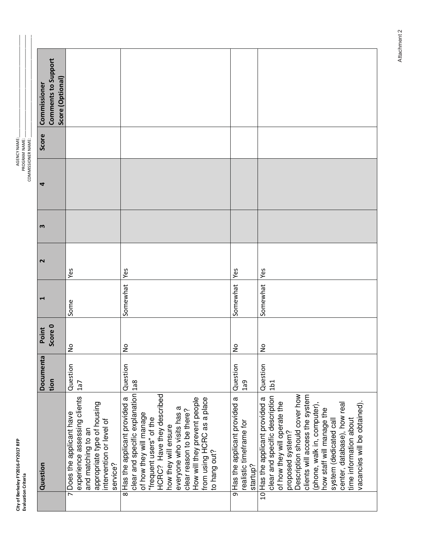| 급<br>Ξ<br>ਨ<br>Š<br>$\overline{a}$<br>3<br>ន្ទុ<br>Ξ<br>erkele <sup>v</sup> | <sup>e</sup> |
|-----------------------------------------------------------------------------|--------------|
|                                                                             | ş            |

-GENCY NA ...<br>∑ PROGRA ב<br>⊳<br>ג ië<br>≥ ≥ ,一个小时,我们的人们就会在这里,我们的人们就会在这里,我们的人们就会在这里,我们的人们就会在这里,我们的人们就会在这里,我们就会在这里,我们就会在这里,我们就 COMMISSIONER NA 

| Comments to Support<br>Score (Optional)<br>Commissioner |                                                                                                                                                                        |                                                                                                                                                                                                                                                                                                                                                  |                                                                       |                                                                                                                                                                                                                                                                                                                                                                        |
|---------------------------------------------------------|------------------------------------------------------------------------------------------------------------------------------------------------------------------------|--------------------------------------------------------------------------------------------------------------------------------------------------------------------------------------------------------------------------------------------------------------------------------------------------------------------------------------------------|-----------------------------------------------------------------------|------------------------------------------------------------------------------------------------------------------------------------------------------------------------------------------------------------------------------------------------------------------------------------------------------------------------------------------------------------------------|
| Score                                                   |                                                                                                                                                                        |                                                                                                                                                                                                                                                                                                                                                  |                                                                       |                                                                                                                                                                                                                                                                                                                                                                        |
| 4                                                       |                                                                                                                                                                        |                                                                                                                                                                                                                                                                                                                                                  |                                                                       |                                                                                                                                                                                                                                                                                                                                                                        |
| m                                                       |                                                                                                                                                                        |                                                                                                                                                                                                                                                                                                                                                  |                                                                       |                                                                                                                                                                                                                                                                                                                                                                        |
| $\sim$                                                  | Yes                                                                                                                                                                    | <b>Yes</b>                                                                                                                                                                                                                                                                                                                                       | Yes                                                                   | Yes                                                                                                                                                                                                                                                                                                                                                                    |
| Ē                                                       | Some                                                                                                                                                                   | Somewhat                                                                                                                                                                                                                                                                                                                                         | Somewhat                                                              | Somewhat                                                                                                                                                                                                                                                                                                                                                               |
| Score 0<br>Point                                        | $\frac{1}{2}$                                                                                                                                                          | $\frac{1}{2}$                                                                                                                                                                                                                                                                                                                                    | $\frac{1}{2}$                                                         | $\frac{1}{2}$                                                                                                                                                                                                                                                                                                                                                          |
| Documenta<br>tion                                       | Question<br>1a7                                                                                                                                                        | Question                                                                                                                                                                                                                                                                                                                                         | Question<br>1a9                                                       | Question<br>1 <sub>b1</sub>                                                                                                                                                                                                                                                                                                                                            |
| Question                                                | experience assessing clients<br>appropriate type of housing<br>Does the applicant have<br>intervention or level of<br>and matching to an<br>service?<br>$\overline{ }$ | clear and specific explanation 1a8<br>HCRC? Have they described<br>Has the applicant provided a<br>How will they prevent people<br>from using HCRC as a place<br>everyone who visits has a<br>clear reason to be there?<br>of how they will manage<br>"frequent users" of the<br>how they will ensure<br>to hang out?<br>$\overline{\mathbf{8}}$ | 9 Has the applicant provided a<br>realistic timeframe for<br>startup? | Description should cover how<br>clients will access the system<br>clear and specific description<br>10 Has the applicant provided a<br>of how they will operate the<br>center, database), how real<br>vacancies will be obtained).<br>(phone, walk in, computer),<br>how staff will manage the<br>time information about<br>system (dedicated call<br>proposed system? |
|                                                         |                                                                                                                                                                        |                                                                                                                                                                                                                                                                                                                                                  |                                                                       |                                                                                                                                                                                                                                                                                                                                                                        |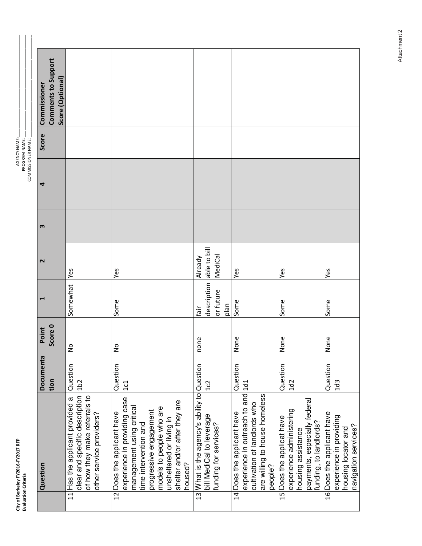|                           | Commissioner | Comments to Support<br>Score (Optional) |                                                                                                                                                |                                                                                                                                                                                                                                                |                                                                                                  |                                                                                                                                             |                                                                                                                                       |                                                                                                      |
|---------------------------|--------------|-----------------------------------------|------------------------------------------------------------------------------------------------------------------------------------------------|------------------------------------------------------------------------------------------------------------------------------------------------------------------------------------------------------------------------------------------------|--------------------------------------------------------------------------------------------------|---------------------------------------------------------------------------------------------------------------------------------------------|---------------------------------------------------------------------------------------------------------------------------------------|------------------------------------------------------------------------------------------------------|
|                           | Score        |                                         |                                                                                                                                                |                                                                                                                                                                                                                                                |                                                                                                  |                                                                                                                                             |                                                                                                                                       |                                                                                                      |
| <b>COMMISSIONER NAME:</b> | 4            |                                         |                                                                                                                                                |                                                                                                                                                                                                                                                |                                                                                                  |                                                                                                                                             |                                                                                                                                       |                                                                                                      |
|                           | m            |                                         |                                                                                                                                                |                                                                                                                                                                                                                                                |                                                                                                  |                                                                                                                                             |                                                                                                                                       |                                                                                                      |
|                           | $\sim$       |                                         | Yes                                                                                                                                            | Yes                                                                                                                                                                                                                                            | able to bill<br>MediCal<br>Already                                                               | Yes                                                                                                                                         | Yes                                                                                                                                   | Yes                                                                                                  |
|                           | ᆏ            |                                         | Somewhat                                                                                                                                       | Some                                                                                                                                                                                                                                           | description<br>or future<br>plan<br>tāir                                                         | Some                                                                                                                                        | Some                                                                                                                                  | Some                                                                                                 |
|                           | Point        | Score 0                                 | $\frac{1}{2}$                                                                                                                                  | $\frac{1}{2}$                                                                                                                                                                                                                                  | none                                                                                             | None                                                                                                                                        | None                                                                                                                                  | None                                                                                                 |
|                           | Documenta    | tion                                    | Question<br>1 <sub>b2</sub>                                                                                                                    | Question<br>1c1                                                                                                                                                                                                                                | 1c2                                                                                              | Question                                                                                                                                    | Question<br>1d2                                                                                                                       | Question<br>1d <sub>3</sub>                                                                          |
|                           | Question     |                                         | clear and specific description<br>of how they make referrals to<br>Has the applicant provided a<br>other service providers?<br>$\overline{11}$ | experience in providing case<br>shelter and/or after they are<br>management using critical<br>models to people who are<br>progressive engagement<br>12 Does the applicant have<br>unsheltered or living in<br>time intervention and<br>housed? | 13 What is the agency's ability to Question<br>bill MediCal to leverage<br>funding for services? | experience in outreach to and 1d1<br>are willing to house homeless<br>cultivation of landlords who<br>14 Does the applicant have<br>people? | payments, especially federal<br>funding, to landlords?<br>experience administering<br>15 Does the applicat have<br>housing assistance | 16 Does the applicant have<br>experience in providing<br>navigation services?<br>housing locator and |
|                           |              |                                         |                                                                                                                                                |                                                                                                                                                                                                                                                |                                                                                                  |                                                                                                                                             |                                                                                                                                       |                                                                                                      |

City of Be rkeley FY<br>n Criteria y FY2016-FY2017 RFP Evaluation C